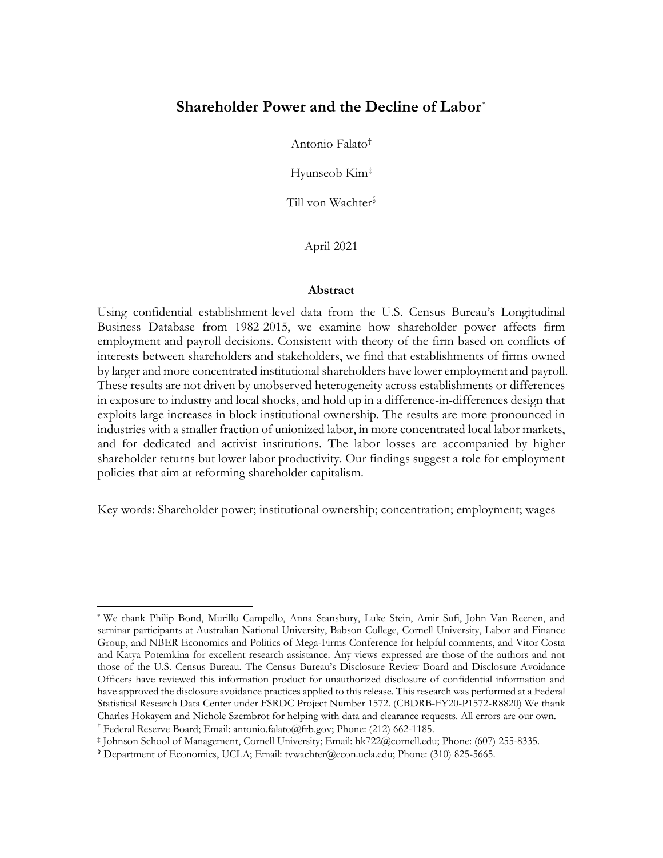# **Shareholder Power and the Decline of Labor**[\\*](#page-0-0)

Antonio Falato[†](#page-0-1)

Hyunseob Kim[‡](#page-0-2)

Till von Wachter[§](#page-0-3)

April 2021

#### **Abstract**

Using confidential establishment-level data from the U.S. Census Bureau's Longitudinal Business Database from 1982-2015, we examine how shareholder power affects firm employment and payroll decisions. Consistent with theory of the firm based on conflicts of interests between shareholders and stakeholders, we find that establishments of firms owned by larger and more concentrated institutional shareholders have lower employment and payroll. These results are not driven by unobserved heterogeneity across establishments or differences in exposure to industry and local shocks, and hold up in a difference-in-differences design that exploits large increases in block institutional ownership. The results are more pronounced in industries with a smaller fraction of unionized labor, in more concentrated local labor markets, and for dedicated and activist institutions. The labor losses are accompanied by higher shareholder returns but lower labor productivity. Our findings suggest a role for employment policies that aim at reforming shareholder capitalism.

Key words: Shareholder power; institutional ownership; concentration; employment; wages

<span id="page-0-0"></span><sup>\*</sup> We thank Philip Bond, Murillo Campello, Anna Stansbury, Luke Stein, Amir Sufi, John Van Reenen, and seminar participants at Australian National University, Babson College, Cornell University, Labor and Finance Group, and NBER Economics and Politics of Mega-Firms Conference for helpful comments, and Vitor Costa and Katya Potemkina for excellent research assistance. Any views expressed are those of the authors and not those of the U.S. Census Bureau. The Census Bureau's Disclosure Review Board and Disclosure Avoidance Officers have reviewed this information product for unauthorized disclosure of confidential information and have approved the disclosure avoidance practices applied to this release. This research was performed at a Federal Statistical Research Data Center under FSRDC Project Number 1572. (CBDRB-FY20-P1572-R8820) We thank Charles Hokayem and Nichole Szembrot for helping with data and clearance requests. All errors are our own. † Federal Reserve Board; Email: antonio.falato@frb.gov; Phone: (212) 662-1185.

<span id="page-0-2"></span><span id="page-0-1"></span><sup>‡</sup> Johnson School of Management, Cornell University; Email: hk722@cornell.edu; Phone: (607) 255-8335.

<span id="page-0-3"></span><sup>§</sup> Department of Economics, UCLA; Email: tvwachter@econ.ucla.edu; Phone: (310) 825-5665.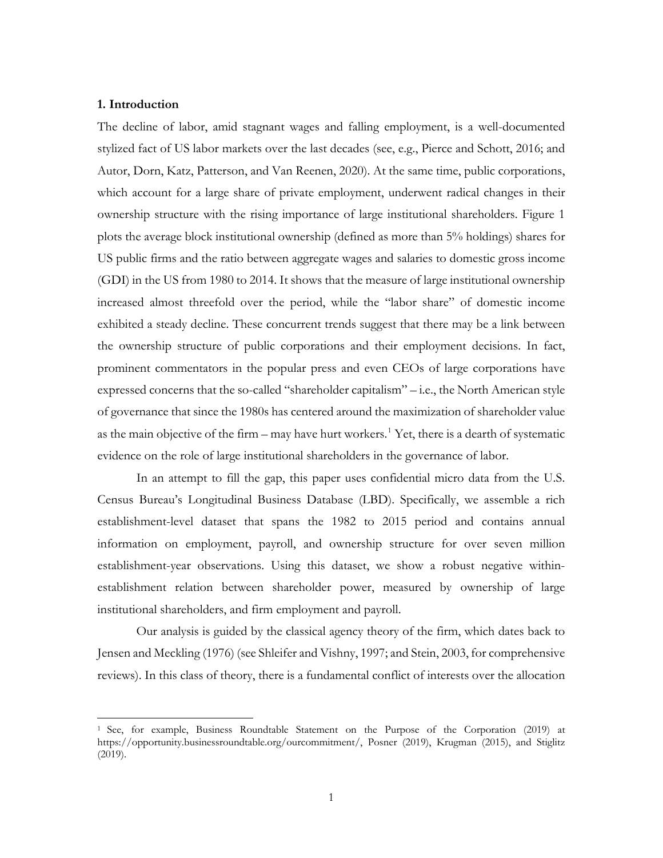# **1. Introduction**

l

The decline of labor, amid stagnant wages and falling employment, is a well-documented stylized fact of US labor markets over the last decades (see, e.g., Pierce and Schott, 2016; and Autor, Dorn, Katz, Patterson, and Van Reenen, 2020). At the same time, public corporations, which account for a large share of private employment, underwent radical changes in their ownership structure with the rising importance of large institutional shareholders. Figure 1 plots the average block institutional ownership (defined as more than 5% holdings) shares for US public firms and the ratio between aggregate wages and salaries to domestic gross income (GDI) in the US from 1980 to 2014. It shows that the measure of large institutional ownership increased almost threefold over the period, while the "labor share" of domestic income exhibited a steady decline. These concurrent trends suggest that there may be a link between the ownership structure of public corporations and their employment decisions. In fact, prominent commentators in the popular press and even CEOs of large corporations have expressed concerns that the so-called "shareholder capitalism" – i.e., the North American style of governance that since the 1980s has centered around the maximization of shareholder value as the main objective of the firm – may have hurt workers.<sup>[1](#page-1-0)</sup> Yet, there is a dearth of systematic evidence on the role of large institutional shareholders in the governance of labor.

In an attempt to fill the gap, this paper uses confidential micro data from the U.S. Census Bureau's Longitudinal Business Database (LBD). Specifically, we assemble a rich establishment-level dataset that spans the 1982 to 2015 period and contains annual information on employment, payroll, and ownership structure for over seven million establishment-year observations. Using this dataset, we show a robust negative withinestablishment relation between shareholder power, measured by ownership of large institutional shareholders, and firm employment and payroll.

Our analysis is guided by the classical agency theory of the firm, which dates back to Jensen and Meckling (1976) (see Shleifer and Vishny, 1997; and Stein, 2003, for comprehensive reviews). In this class of theory, there is a fundamental conflict of interests over the allocation

<span id="page-1-0"></span><sup>1</sup> See, for example, Business Roundtable Statement on the Purpose of the Corporation (2019) at https://opportunity.businessroundtable.org/ourcommitment/, Posner (2019), Krugman (2015), and Stiglitz (2019).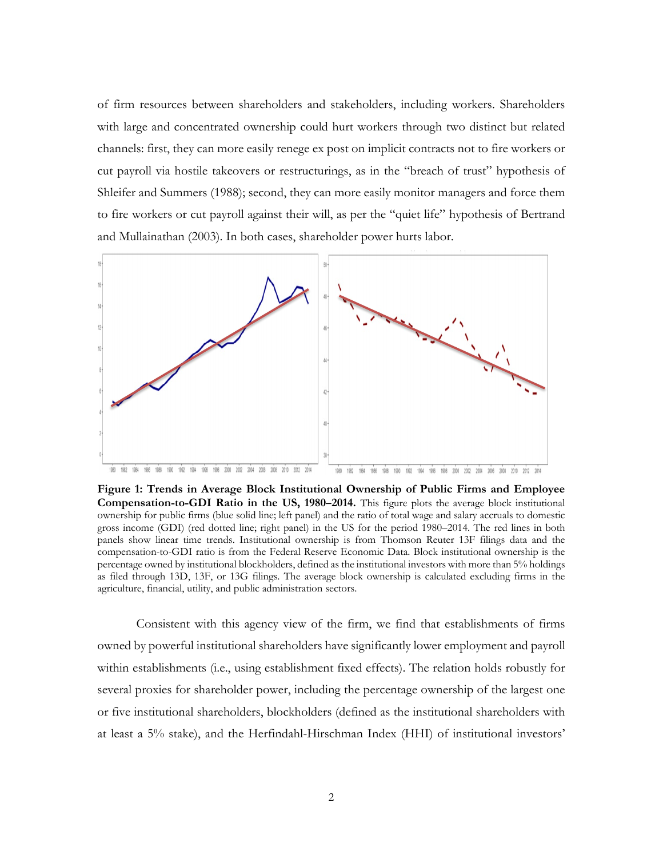of firm resources between shareholders and stakeholders, including workers. Shareholders with large and concentrated ownership could hurt workers through two distinct but related channels: first, they can more easily renege ex post on implicit contracts not to fire workers or cut payroll via hostile takeovers or restructurings, as in the "breach of trust" hypothesis of Shleifer and Summers (1988); second, they can more easily monitor managers and force them to fire workers or cut payroll against their will, as per the "quiet life" hypothesis of Bertrand and Mullainathan (2003). In both cases, shareholder power hurts labor.



**Figure 1: Trends in Average Block Institutional Ownership of Public Firms and Employee Compensation-to-GDI Ratio in the US, 1980–2014.** This figure plots the average block institutional ownership for public firms (blue solid line; left panel) and the ratio of total wage and salary accruals to domestic gross income (GDI) (red dotted line; right panel) in the US for the period 1980–2014. The red lines in both panels show linear time trends. Institutional ownership is from Thomson Reuter 13F filings data and the compensation-to-GDI ratio is from the Federal Reserve Economic Data. Block institutional ownership is the percentage owned by institutional blockholders, defined as the institutional investors with more than 5% holdings as filed through 13D, 13F, or 13G filings. The average block ownership is calculated excluding firms in the agriculture, financial, utility, and public administration sectors.

Consistent with this agency view of the firm, we find that establishments of firms owned by powerful institutional shareholders have significantly lower employment and payroll within establishments (i.e., using establishment fixed effects). The relation holds robustly for several proxies for shareholder power, including the percentage ownership of the largest one or five institutional shareholders, blockholders (defined as the institutional shareholders with at least a 5% stake), and the Herfindahl-Hirschman Index (HHI) of institutional investors'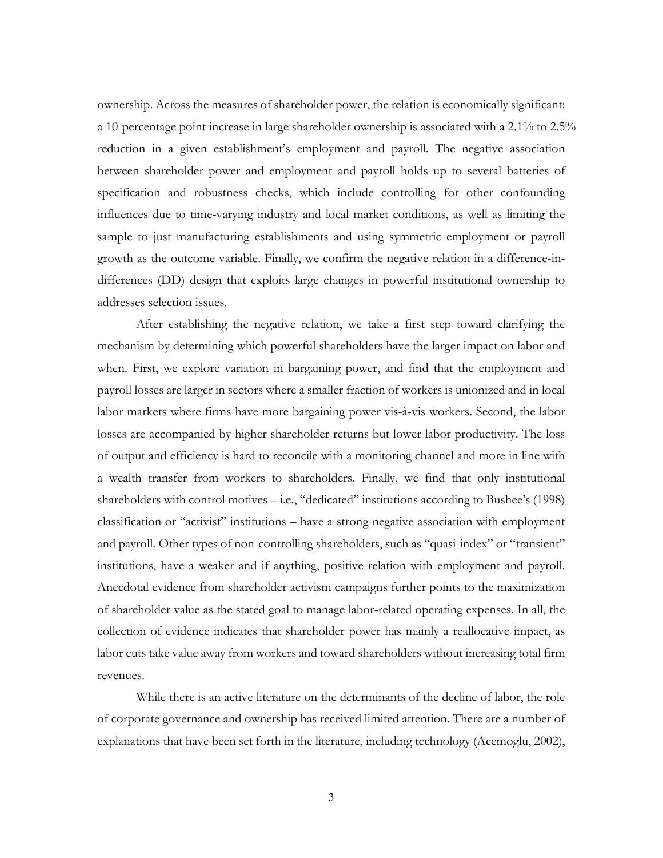ownership. Across the measures of shareholder power, the relation is economically significant: a 10-percentage point increase in large shareholder ownership is associated with a 2.1% to 2.5% reduction in a given establishment's employment and payroll. The negative association between shareholder power and employment and payroll holds up to several batteries of specification and robustness checks, which include controlling for other confounding influences due to time-varying industry and local market conditions, as well as limiting the sample to just manufacturing establishments and using symmetric employment or payroll growth as the outcome variable. Finally, we confirm the negative relation in a difference-indifferences (DD) design that exploits large changes in powerful institutional ownership to addresses selection issues.

After establishing the negative relation, we take a first step toward clarifying the mechanism by determining which powerful shareholders have the larger impact on labor and when. First, we explore variation in bargaining power, and find that the employment and payroll losses are larger in sectors where a smaller fraction of workers is unionized and in local labor markets where firms have more bargaining power vis-à-vis workers. Second, the labor losses are accompanied by higher shareholder returns but lower labor productivity. The loss of output and efficiency is hard to reconcile with a monitoring channel and more in line with a wealth transfer from workers to shareholders. Finally, we find that only institutional shareholders with control motives – i.e., "dedicated" institutions according to Bushee's (1998) classification or "activist" institutions – have a strong negative association with employment and payroll. Other types of non-controlling shareholders, such as "quasi-index" or "transient" institutions, have a weaker and if anything, positive relation with employment and payroll. Anecdotal evidence from shareholder activism campaigns further points to the maximization of shareholder value as the stated goal to manage labor-related operating expenses. In all, the collection of evidence indicates that shareholder power has mainly a reallocative impact, as labor cuts take value away from workers and toward shareholders without increasing total firm revenues.

While there is an active literature on the determinants of the decline of labor, the role of corporate governance and ownership has received limited attention. There are a number of explanations that have been set forth in the literature, including technology (Acemoglu, 2002),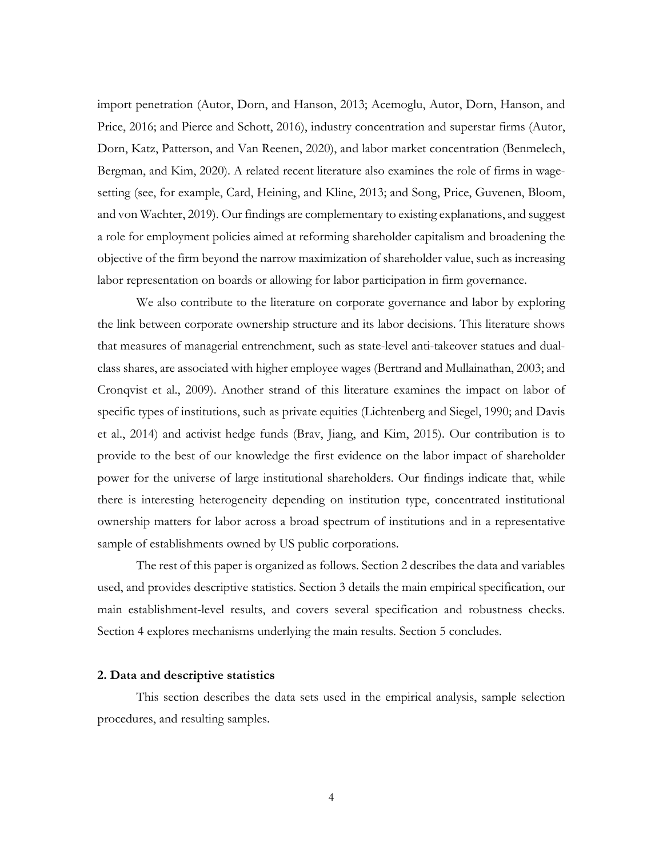import penetration (Autor, Dorn, and Hanson, 2013; Acemoglu, Autor, Dorn, Hanson, and Price, 2016; and Pierce and Schott, 2016), industry concentration and superstar firms (Autor, Dorn, Katz, Patterson, and Van Reenen, 2020), and labor market concentration (Benmelech, Bergman, and Kim, 2020). A related recent literature also examines the role of firms in wagesetting (see, for example, Card, Heining, and Kline, 2013; and Song, Price, Guvenen, Bloom, and von Wachter, 2019). Our findings are complementary to existing explanations, and suggest a role for employment policies aimed at reforming shareholder capitalism and broadening the objective of the firm beyond the narrow maximization of shareholder value, such as increasing labor representation on boards or allowing for labor participation in firm governance.

We also contribute to the literature on corporate governance and labor by exploring the link between corporate ownership structure and its labor decisions. This literature shows that measures of managerial entrenchment, such as state-level anti-takeover statues and dualclass shares, are associated with higher employee wages (Bertrand and Mullainathan, 2003; and Cronqvist et al., 2009). Another strand of this literature examines the impact on labor of specific types of institutions, such as private equities (Lichtenberg and Siegel, 1990; and Davis et al., 2014) and activist hedge funds (Brav, Jiang, and Kim, 2015). Our contribution is to provide to the best of our knowledge the first evidence on the labor impact of shareholder power for the universe of large institutional shareholders. Our findings indicate that, while there is interesting heterogeneity depending on institution type, concentrated institutional ownership matters for labor across a broad spectrum of institutions and in a representative sample of establishments owned by US public corporations.

The rest of this paper is organized as follows. Section 2 describes the data and variables used, and provides descriptive statistics. Section 3 details the main empirical specification, our main establishment-level results, and covers several specification and robustness checks. Section 4 explores mechanisms underlying the main results. Section 5 concludes.

#### **2. Data and descriptive statistics**

This section describes the data sets used in the empirical analysis, sample selection procedures, and resulting samples.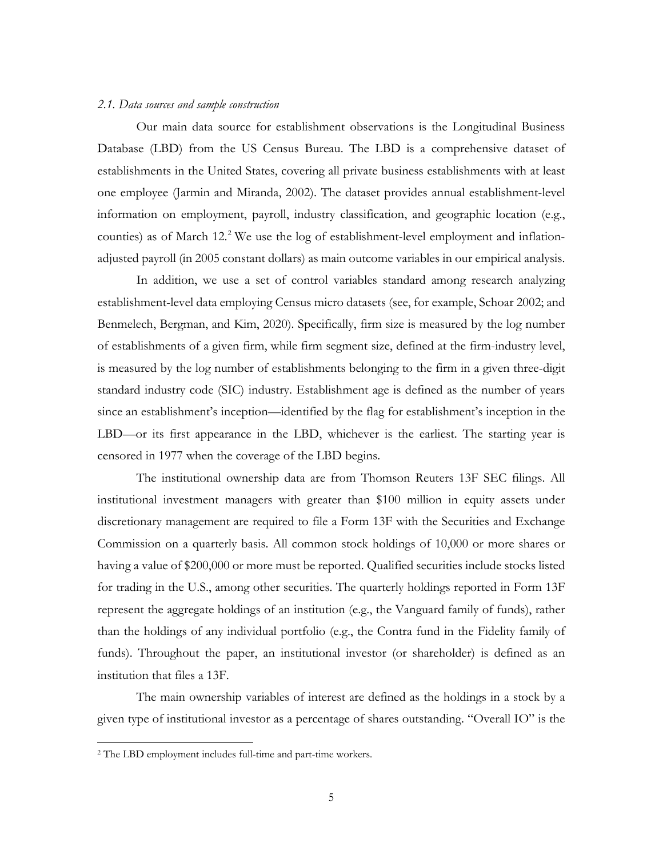#### *2.1. Data sources and sample construction*

Our main data source for establishment observations is the Longitudinal Business Database (LBD) from the US Census Bureau. The LBD is a comprehensive dataset of establishments in the United States, covering all private business establishments with at least one employee (Jarmin and Miranda, 2002). The dataset provides annual establishment-level information on employment, payroll, industry classification, and geographic location (e.g., counties) as of March 12. [2](#page-5-0) We use the log of establishment-level employment and inflationadjusted payroll (in 2005 constant dollars) as main outcome variables in our empirical analysis.

In addition, we use a set of control variables standard among research analyzing establishment-level data employing Census micro datasets (see, for example, Schoar 2002; and Benmelech, Bergman, and Kim, 2020). Specifically, firm size is measured by the log number of establishments of a given firm, while firm segment size, defined at the firm-industry level, is measured by the log number of establishments belonging to the firm in a given three-digit standard industry code (SIC) industry. Establishment age is defined as the number of years since an establishment's inception—identified by the flag for establishment's inception in the LBD—or its first appearance in the LBD, whichever is the earliest. The starting year is censored in 1977 when the coverage of the LBD begins.

The institutional ownership data are from Thomson Reuters 13F SEC filings. All institutional investment managers with greater than \$100 million in equity assets under discretionary management are required to file a Form 13F with the Securities and Exchange Commission on a quarterly basis. All common stock holdings of 10,000 or more shares or having a value of \$200,000 or more must be reported. Qualified securities include stocks listed for trading in the U.S., among other securities. The quarterly holdings reported in Form 13F represent the aggregate holdings of an institution (e.g., the Vanguard family of funds), rather than the holdings of any individual portfolio (e.g., the Contra fund in the Fidelity family of funds). Throughout the paper, an institutional investor (or shareholder) is defined as an institution that files a 13F.

The main ownership variables of interest are defined as the holdings in a stock by a given type of institutional investor as a percentage of shares outstanding. "Overall IO" is the

l

<span id="page-5-0"></span><sup>2</sup> The LBD employment includes full-time and part-time workers.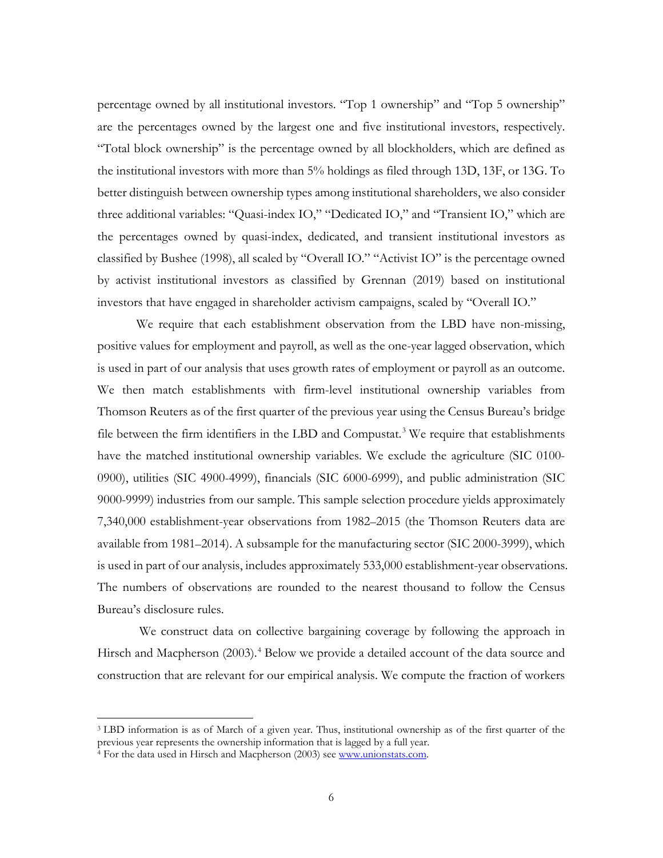percentage owned by all institutional investors. "Top 1 ownership" and "Top 5 ownership" are the percentages owned by the largest one and five institutional investors, respectively. "Total block ownership" is the percentage owned by all blockholders, which are defined as the institutional investors with more than 5% holdings as filed through 13D, 13F, or 13G. To better distinguish between ownership types among institutional shareholders, we also consider three additional variables: "Quasi-index IO," "Dedicated IO," and "Transient IO," which are the percentages owned by quasi-index, dedicated, and transient institutional investors as classified by Bushee (1998), all scaled by "Overall IO." "Activist IO" is the percentage owned by activist institutional investors as classified by Grennan (2019) based on institutional investors that have engaged in shareholder activism campaigns, scaled by "Overall IO."

We require that each establishment observation from the LBD have non-missing, positive values for employment and payroll, as well as the one-year lagged observation, which is used in part of our analysis that uses growth rates of employment or payroll as an outcome. We then match establishments with firm-level institutional ownership variables from Thomson Reuters as of the first quarter of the previous year using the Census Bureau's bridge file between the firm identifiers in the LBD and Compustat.<sup>[3](#page-6-0)</sup> We require that establishments have the matched institutional ownership variables. We exclude the agriculture (SIC 0100- 0900), utilities (SIC 4900-4999), financials (SIC 6000-6999), and public administration (SIC 9000-9999) industries from our sample. This sample selection procedure yields approximately 7,340,000 establishment-year observations from 1982–2015 (the Thomson Reuters data are available from 1981–2014). A subsample for the manufacturing sector (SIC 2000-3999), which is used in part of our analysis, includes approximately 533,000 establishment-year observations. The numbers of observations are rounded to the nearest thousand to follow the Census Bureau's disclosure rules.

We construct data on collective bargaining coverage by following the approach in Hirsch and Macpherson (2003).<sup>[4](#page-6-1)</sup> Below we provide a detailed account of the data source and construction that are relevant for our empirical analysis. We compute the fraction of workers

l

<span id="page-6-0"></span><sup>3</sup> LBD information is as of March of a given year. Thus, institutional ownership as of the first quarter of the previous year represents the ownership information that is lagged by a full year.

<span id="page-6-1"></span><sup>&</sup>lt;sup>4</sup> For the data used in Hirsch and Macpherson (2003) see [www.unionstats.com.](http://www.unionstats.com/)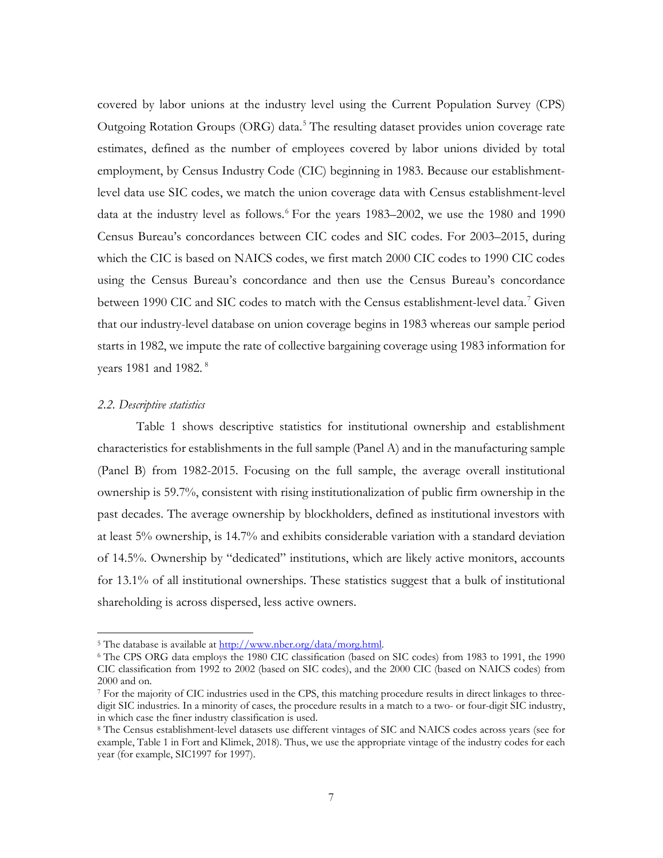covered by labor unions at the industry level using the Current Population Survey (CPS) Outgoing Rotation Groups (ORG) data.<sup>[5](#page-7-0)</sup> The resulting dataset provides union coverage rate estimates, defined as the number of employees covered by labor unions divided by total employment, by Census Industry Code (CIC) beginning in 1983. Because our establishmentlevel data use SIC codes, we match the union coverage data with Census establishment-level data at the industry level as follows.<sup>[6](#page-7-1)</sup> For the years 1983–2002, we use the 1980 and 1990 Census Bureau's concordances between CIC codes and SIC codes. For 2003–2015, during which the CIC is based on NAICS codes, we first match 2000 CIC codes to 1990 CIC codes using the Census Bureau's concordance and then use the Census Bureau's concordance between 1990 CIC and SIC codes to match with the Census establishment-level data.<sup>[7](#page-7-2)</sup> Given that our industry-level database on union coverage begins in 1983 whereas our sample period starts in 1982, we impute the rate of collective bargaining coverage using 1983 information for years 19[8](#page-7-3)1 and 1982.<sup>8</sup>

### *2.2. Descriptive statistics*

 $\overline{a}$ 

Table 1 shows descriptive statistics for institutional ownership and establishment characteristics for establishments in the full sample (Panel A) and in the manufacturing sample (Panel B) from 1982-2015. Focusing on the full sample, the average overall institutional ownership is 59.7%, consistent with rising institutionalization of public firm ownership in the past decades. The average ownership by blockholders, defined as institutional investors with at least 5% ownership, is 14.7% and exhibits considerable variation with a standard deviation of 14.5%. Ownership by "dedicated" institutions, which are likely active monitors, accounts for 13.1% of all institutional ownerships. These statistics suggest that a bulk of institutional shareholding is across dispersed, less active owners.

<span id="page-7-0"></span><sup>&</sup>lt;sup>5</sup> The database is available at  $\frac{http://www.nber.org/data/morg.html.}{http://www.nber.org/data/morg.html.}$ 

<span id="page-7-1"></span><sup>6</sup> The CPS ORG data employs the 1980 CIC classification (based on SIC codes) from 1983 to 1991, the 1990 CIC classification from 1992 to 2002 (based on SIC codes), and the 2000 CIC (based on NAICS codes) from 2000 and on.

<span id="page-7-2"></span><sup>7</sup> For the majority of CIC industries used in the CPS, this matching procedure results in direct linkages to threedigit SIC industries. In a minority of cases, the procedure results in a match to a two- or four-digit SIC industry, in which case the finer industry classification is used.

<span id="page-7-3"></span><sup>8</sup> The Census establishment-level datasets use different vintages of SIC and NAICS codes across years (see for example, Table 1 in Fort and Klimek, 2018). Thus, we use the appropriate vintage of the industry codes for each year (for example, SIC1997 for 1997).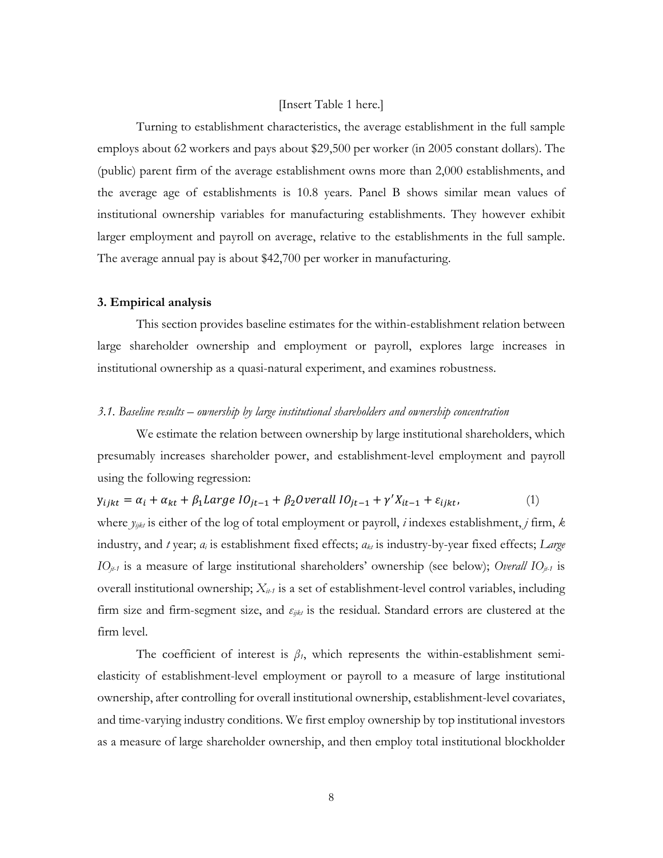#### [Insert Table 1 here.]

Turning to establishment characteristics, the average establishment in the full sample employs about 62 workers and pays about \$29,500 per worker (in 2005 constant dollars). The (public) parent firm of the average establishment owns more than 2,000 establishments, and the average age of establishments is 10.8 years. Panel B shows similar mean values of institutional ownership variables for manufacturing establishments. They however exhibit larger employment and payroll on average, relative to the establishments in the full sample. The average annual pay is about \$42,700 per worker in manufacturing.

#### **3. Empirical analysis**

This section provides baseline estimates for the within-establishment relation between large shareholder ownership and employment or payroll, explores large increases in institutional ownership as a quasi-natural experiment, and examines robustness.

### *3.1. Baseline results – ownership by large institutional shareholders and ownership concentration*

We estimate the relation between ownership by large institutional shareholders, which presumably increases shareholder power, and establishment-level employment and payroll using the following regression:

$$
y_{ijkt} = \alpha_i + \alpha_{kt} + \beta_1 Large~IO_{jt-1} + \beta_2 Overall~IO_{jt-1} + \gamma' X_{it-1} + \varepsilon_{ijkt},
$$
\n(1)

where  $y_{ijk}$  is either of the log of total employment or payroll, *i* indexes establishment, *j* firm, *k* industry, and *t* year; *α<sup>i</sup>* is establishment fixed effects; *αkt* is industry-by-year fixed effects; *Large IOjt-1* is a measure of large institutional shareholders' ownership (see below); *Overall IOjt-1* is overall institutional ownership;  $X_{i+1}$  is a set of establishment-level control variables, including firm size and firm-segment size, and *εijkt* is the residual. Standard errors are clustered at the firm level.

The coefficient of interest is  $\beta$ <sup>*1*</sup>, which represents the within-establishment semielasticity of establishment-level employment or payroll to a measure of large institutional ownership, after controlling for overall institutional ownership, establishment-level covariates, and time-varying industry conditions. We first employ ownership by top institutional investors as a measure of large shareholder ownership, and then employ total institutional blockholder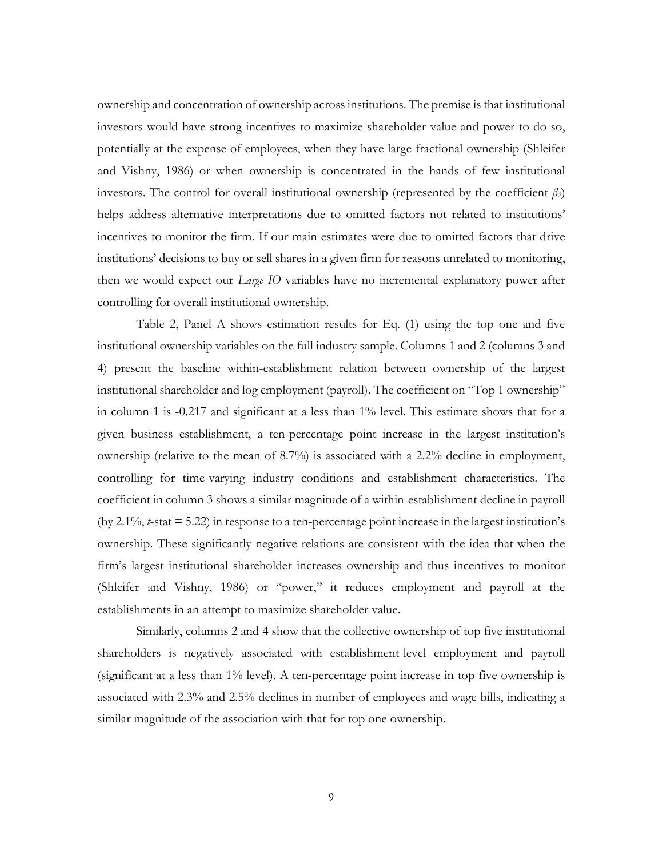ownership and concentration of ownership across institutions. The premise is that institutional investors would have strong incentives to maximize shareholder value and power to do so, potentially at the expense of employees, when they have large fractional ownership (Shleifer and Vishny, 1986) or when ownership is concentrated in the hands of few institutional investors. The control for overall institutional ownership (represented by the coefficient  $\beta_2$ ) helps address alternative interpretations due to omitted factors not related to institutions' incentives to monitor the firm. If our main estimates were due to omitted factors that drive institutions' decisions to buy or sell shares in a given firm for reasons unrelated to monitoring, then we would expect our *Large IO* variables have no incremental explanatory power after controlling for overall institutional ownership.

Table 2, Panel A shows estimation results for Eq. (1) using the top one and five institutional ownership variables on the full industry sample. Columns 1 and 2 (columns 3 and 4) present the baseline within-establishment relation between ownership of the largest institutional shareholder and log employment (payroll). The coefficient on "Top 1 ownership" in column 1 is -0.217 and significant at a less than 1% level. This estimate shows that for a given business establishment, a ten-percentage point increase in the largest institution's ownership (relative to the mean of 8.7%) is associated with a 2.2% decline in employment, controlling for time-varying industry conditions and establishment characteristics. The coefficient in column 3 shows a similar magnitude of a within-establishment decline in payroll (by 2.1%, *t*-stat = 5.22) in response to a ten-percentage point increase in the largest institution's ownership. These significantly negative relations are consistent with the idea that when the firm's largest institutional shareholder increases ownership and thus incentives to monitor (Shleifer and Vishny, 1986) or "power," it reduces employment and payroll at the establishments in an attempt to maximize shareholder value.

Similarly, columns 2 and 4 show that the collective ownership of top five institutional shareholders is negatively associated with establishment-level employment and payroll (significant at a less than 1% level). A ten-percentage point increase in top five ownership is associated with 2.3% and 2.5% declines in number of employees and wage bills, indicating a similar magnitude of the association with that for top one ownership.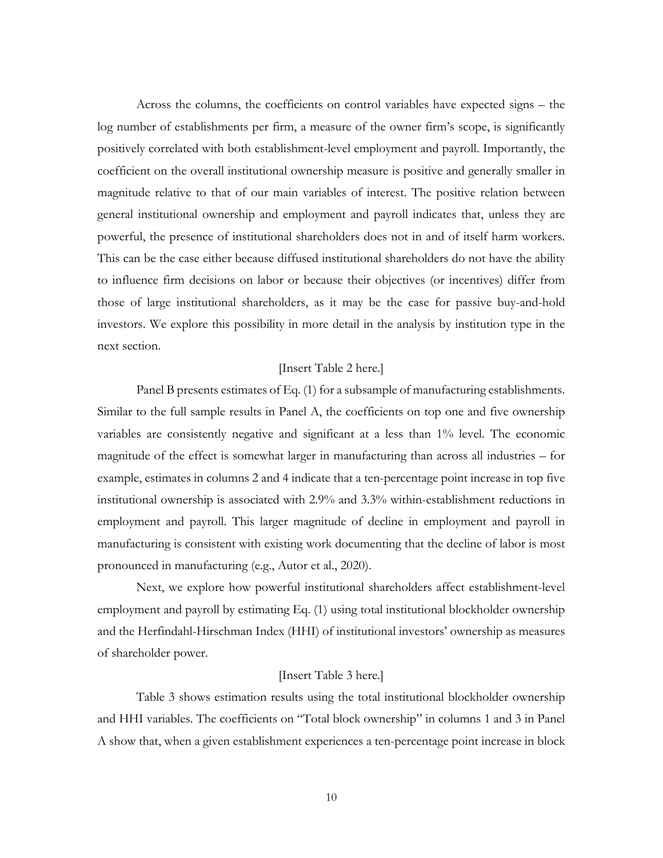Across the columns, the coefficients on control variables have expected signs – the log number of establishments per firm, a measure of the owner firm's scope, is significantly positively correlated with both establishment-level employment and payroll. Importantly, the coefficient on the overall institutional ownership measure is positive and generally smaller in magnitude relative to that of our main variables of interest. The positive relation between general institutional ownership and employment and payroll indicates that, unless they are powerful, the presence of institutional shareholders does not in and of itself harm workers. This can be the case either because diffused institutional shareholders do not have the ability to influence firm decisions on labor or because their objectives (or incentives) differ from those of large institutional shareholders, as it may be the case for passive buy-and-hold investors. We explore this possibility in more detail in the analysis by institution type in the next section.

# [Insert Table 2 here.]

Panel B presents estimates of Eq. (1) for a subsample of manufacturing establishments. Similar to the full sample results in Panel A, the coefficients on top one and five ownership variables are consistently negative and significant at a less than 1% level. The economic magnitude of the effect is somewhat larger in manufacturing than across all industries – for example, estimates in columns 2 and 4 indicate that a ten-percentage point increase in top five institutional ownership is associated with 2.9% and 3.3% within-establishment reductions in employment and payroll. This larger magnitude of decline in employment and payroll in manufacturing is consistent with existing work documenting that the decline of labor is most pronounced in manufacturing (e.g., Autor et al., 2020).

Next, we explore how powerful institutional shareholders affect establishment-level employment and payroll by estimating Eq. (1) using total institutional blockholder ownership and the Herfindahl-Hirschman Index (HHI) of institutional investors' ownership as measures of shareholder power.

# [Insert Table 3 here.]

Table 3 shows estimation results using the total institutional blockholder ownership and HHI variables. The coefficients on "Total block ownership" in columns 1 and 3 in Panel A show that, when a given establishment experiences a ten-percentage point increase in block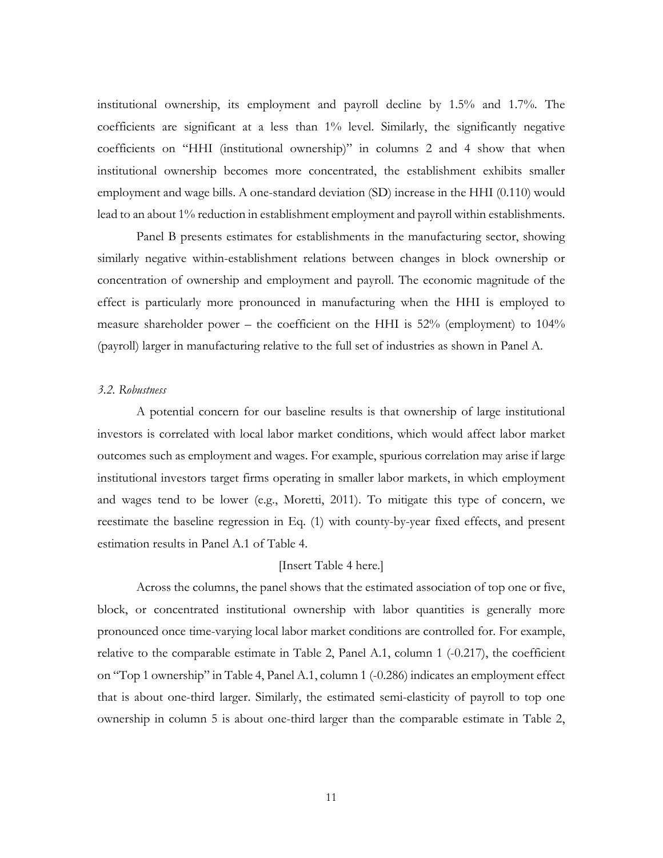institutional ownership, its employment and payroll decline by 1.5% and 1.7%. The coefficients are significant at a less than 1% level. Similarly, the significantly negative coefficients on "HHI (institutional ownership)" in columns 2 and 4 show that when institutional ownership becomes more concentrated, the establishment exhibits smaller employment and wage bills. A one-standard deviation (SD) increase in the HHI (0.110) would lead to an about 1% reduction in establishment employment and payroll within establishments.

Panel B presents estimates for establishments in the manufacturing sector, showing similarly negative within-establishment relations between changes in block ownership or concentration of ownership and employment and payroll. The economic magnitude of the effect is particularly more pronounced in manufacturing when the HHI is employed to measure shareholder power – the coefficient on the HHI is 52% (employment) to 104% (payroll) larger in manufacturing relative to the full set of industries as shown in Panel A.

#### *3.2. Robustness*

A potential concern for our baseline results is that ownership of large institutional investors is correlated with local labor market conditions, which would affect labor market outcomes such as employment and wages. For example, spurious correlation may arise if large institutional investors target firms operating in smaller labor markets, in which employment and wages tend to be lower (e.g., Moretti, 2011). To mitigate this type of concern, we reestimate the baseline regression in Eq. (1) with county-by-year fixed effects, and present estimation results in Panel A.1 of Table 4.

# [Insert Table 4 here.]

Across the columns, the panel shows that the estimated association of top one or five, block, or concentrated institutional ownership with labor quantities is generally more pronounced once time-varying local labor market conditions are controlled for. For example, relative to the comparable estimate in Table 2, Panel A.1, column 1 (-0.217), the coefficient on "Top 1 ownership" in Table 4, Panel A.1, column 1 (-0.286) indicates an employment effect that is about one-third larger. Similarly, the estimated semi-elasticity of payroll to top one ownership in column 5 is about one-third larger than the comparable estimate in Table 2,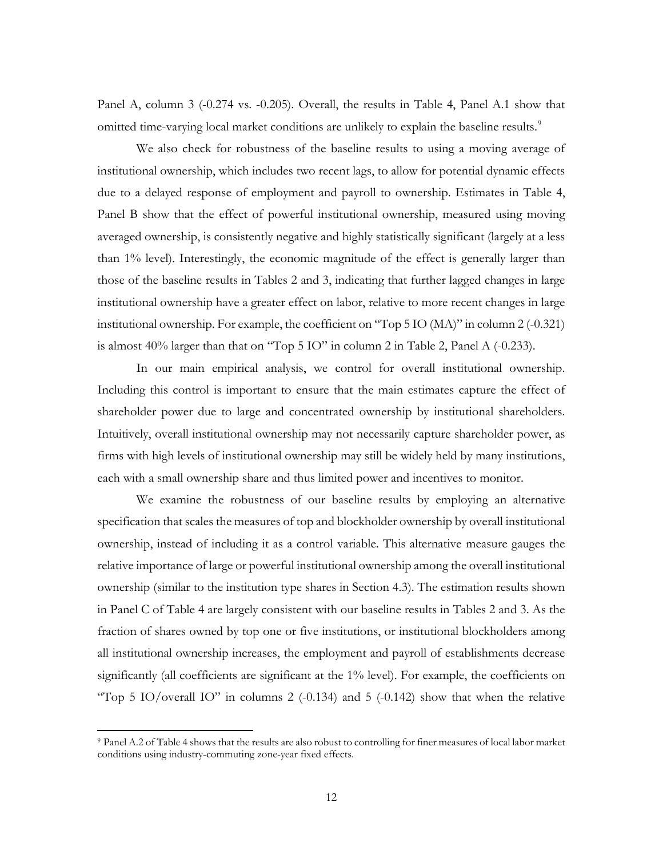Panel A, column 3 (-0.274 vs. -0.205). Overall, the results in Table 4, Panel A.1 show that omitted time-varying local market conditions are unlikely to explain the baseline results.<sup>[9](#page-12-0)</sup>

We also check for robustness of the baseline results to using a moving average of institutional ownership, which includes two recent lags, to allow for potential dynamic effects due to a delayed response of employment and payroll to ownership. Estimates in Table 4, Panel B show that the effect of powerful institutional ownership, measured using moving averaged ownership, is consistently negative and highly statistically significant (largely at a less than 1% level). Interestingly, the economic magnitude of the effect is generally larger than those of the baseline results in Tables 2 and 3, indicating that further lagged changes in large institutional ownership have a greater effect on labor, relative to more recent changes in large institutional ownership. For example, the coefficient on "Top 5 IO (MA)" in column 2 (-0.321) is almost 40% larger than that on "Top 5 IO" in column 2 in Table 2, Panel A (-0.233).

In our main empirical analysis, we control for overall institutional ownership. Including this control is important to ensure that the main estimates capture the effect of shareholder power due to large and concentrated ownership by institutional shareholders. Intuitively, overall institutional ownership may not necessarily capture shareholder power, as firms with high levels of institutional ownership may still be widely held by many institutions, each with a small ownership share and thus limited power and incentives to monitor.

We examine the robustness of our baseline results by employing an alternative specification that scales the measures of top and blockholder ownership by overall institutional ownership, instead of including it as a control variable. This alternative measure gauges the relative importance of large or powerful institutional ownership among the overall institutional ownership (similar to the institution type shares in Section 4.3). The estimation results shown in Panel C of Table 4 are largely consistent with our baseline results in Tables 2 and 3. As the fraction of shares owned by top one or five institutions, or institutional blockholders among all institutional ownership increases, the employment and payroll of establishments decrease significantly (all coefficients are significant at the 1% level). For example, the coefficients on "Top 5 IO/overall IO" in columns 2  $(-0.134)$  and 5  $(-0.142)$  show that when the relative

 $\overline{a}$ 

<span id="page-12-0"></span><sup>9</sup> Panel A.2 of Table 4 shows that the results are also robust to controlling for finer measures of local labor market conditions using industry-commuting zone-year fixed effects.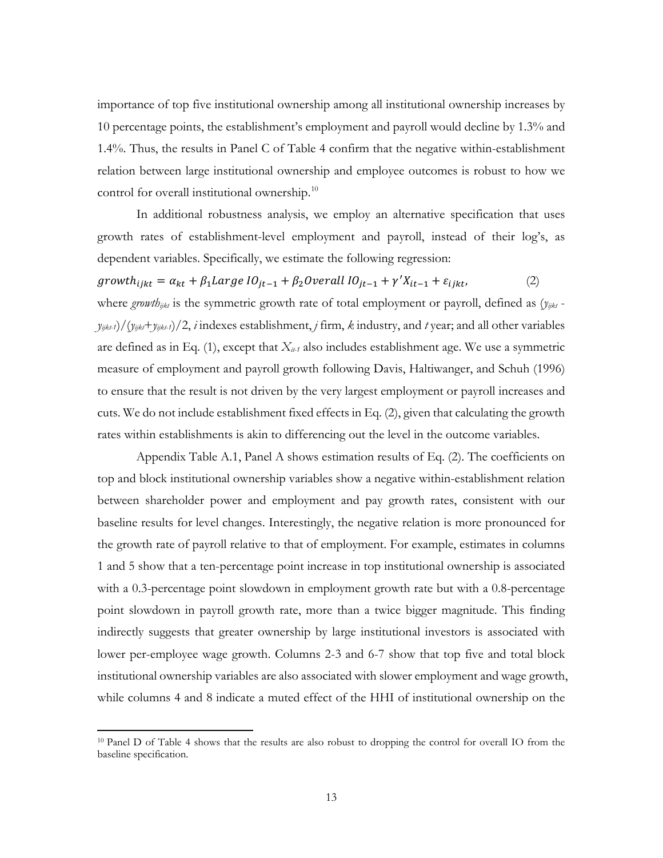importance of top five institutional ownership among all institutional ownership increases by 10 percentage points, the establishment's employment and payroll would decline by 1.3% and 1.4%. Thus, the results in Panel C of Table 4 confirm that the negative within-establishment relation between large institutional ownership and employee outcomes is robust to how we control for overall institutional ownership.<sup>[10](#page-13-0)</sup>

In additional robustness analysis, we employ an alternative specification that uses growth rates of establishment-level employment and payroll, instead of their log's, as dependent variables. Specifically, we estimate the following regression:

 $\text{owth}_{ijkt} = \alpha_{kt} + \beta_1 \text{Large } IO_{jt-1} + \beta_2 \text{Overall } IO_{jt-1} + \gamma' X_{it-1} + \varepsilon_{ijkt},$  (2) where *growth<sub>ijkt</sub>* is the symmetric growth rate of total employment or payroll, defined as  $(y_{ijkt}$  $y_{i\neq k}$ -*i*)/( $y_{i\neq k}$ -*y<sub>ijkt</sub>-i*)/2, *i* indexes establishment, *j* firm, *k* industry, and *t* year; and all other variables are defined as in Eq. (1), except that  $X_{i}$  also includes establishment age. We use a symmetric measure of employment and payroll growth following Davis, Haltiwanger, and Schuh (1996) to ensure that the result is not driven by the very largest employment or payroll increases and cuts. We do not include establishment fixed effects in Eq. (2), given that calculating the growth rates within establishments is akin to differencing out the level in the outcome variables.

Appendix Table A.1, Panel A shows estimation results of Eq. (2). The coefficients on top and block institutional ownership variables show a negative within-establishment relation between shareholder power and employment and pay growth rates, consistent with our baseline results for level changes. Interestingly, the negative relation is more pronounced for the growth rate of payroll relative to that of employment. For example, estimates in columns 1 and 5 show that a ten-percentage point increase in top institutional ownership is associated with a 0.3-percentage point slowdown in employment growth rate but with a 0.8-percentage point slowdown in payroll growth rate, more than a twice bigger magnitude. This finding indirectly suggests that greater ownership by large institutional investors is associated with lower per-employee wage growth. Columns 2-3 and 6-7 show that top five and total block institutional ownership variables are also associated with slower employment and wage growth, while columns 4 and 8 indicate a muted effect of the HHI of institutional ownership on the

 $\overline{a}$ 

<span id="page-13-0"></span><sup>10</sup> Panel D of Table 4 shows that the results are also robust to dropping the control for overall IO from the baseline specification.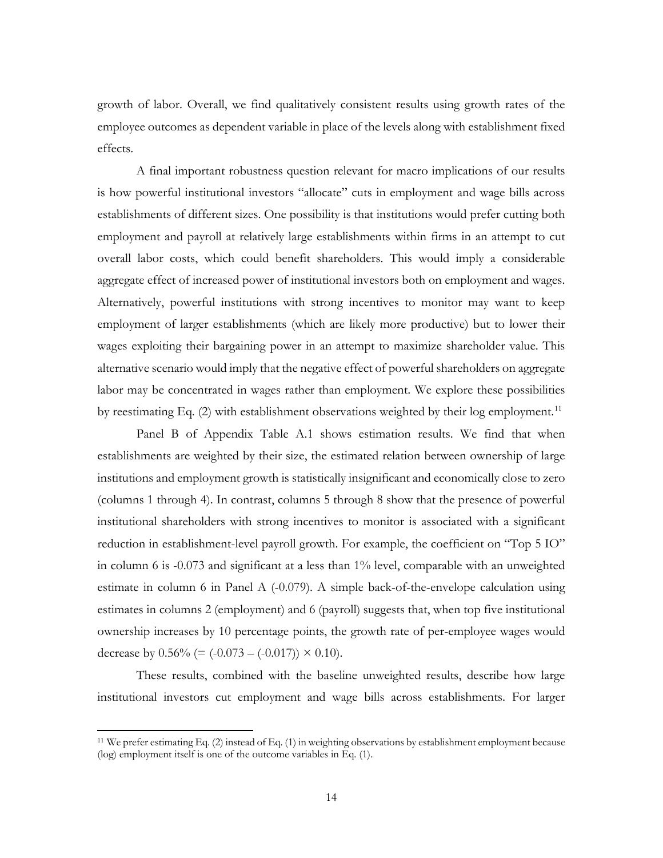growth of labor. Overall, we find qualitatively consistent results using growth rates of the employee outcomes as dependent variable in place of the levels along with establishment fixed effects.

A final important robustness question relevant for macro implications of our results is how powerful institutional investors "allocate" cuts in employment and wage bills across establishments of different sizes. One possibility is that institutions would prefer cutting both employment and payroll at relatively large establishments within firms in an attempt to cut overall labor costs, which could benefit shareholders. This would imply a considerable aggregate effect of increased power of institutional investors both on employment and wages. Alternatively, powerful institutions with strong incentives to monitor may want to keep employment of larger establishments (which are likely more productive) but to lower their wages exploiting their bargaining power in an attempt to maximize shareholder value. This alternative scenario would imply that the negative effect of powerful shareholders on aggregate labor may be concentrated in wages rather than employment. We explore these possibilities by reestimating Eq.  $(2)$  with establishment observations weighted by their log employment.<sup>[11](#page-14-0)</sup>

Panel B of Appendix Table A.1 shows estimation results. We find that when establishments are weighted by their size, the estimated relation between ownership of large institutions and employment growth is statistically insignificant and economically close to zero (columns 1 through 4). In contrast, columns 5 through 8 show that the presence of powerful institutional shareholders with strong incentives to monitor is associated with a significant reduction in establishment-level payroll growth. For example, the coefficient on "Top 5 IO" in column 6 is -0.073 and significant at a less than 1% level, comparable with an unweighted estimate in column 6 in Panel A (-0.079). A simple back-of-the-envelope calculation using estimates in columns 2 (employment) and 6 (payroll) suggests that, when top five institutional ownership increases by 10 percentage points, the growth rate of per-employee wages would decrease by  $0.56\%$  (=  $(-0.073 - (-0.017)) \times 0.10$ ).

These results, combined with the baseline unweighted results, describe how large institutional investors cut employment and wage bills across establishments. For larger

 $\overline{a}$ 

<span id="page-14-0"></span><sup>11</sup> We prefer estimating Eq. (2) instead of Eq. (1) in weighting observations by establishment employment because (log) employment itself is one of the outcome variables in Eq. (1).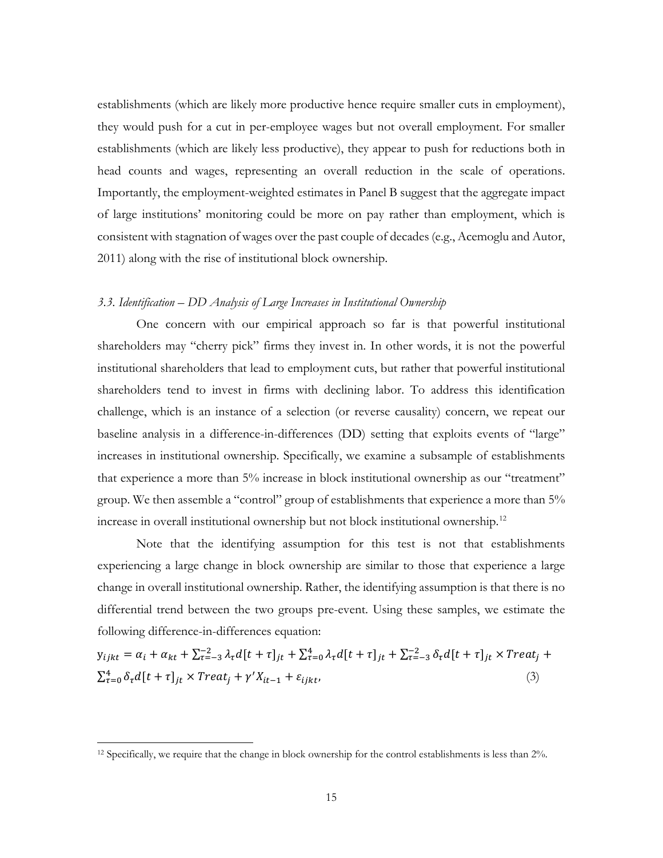establishments (which are likely more productive hence require smaller cuts in employment), they would push for a cut in per-employee wages but not overall employment. For smaller establishments (which are likely less productive), they appear to push for reductions both in head counts and wages, representing an overall reduction in the scale of operations. Importantly, the employment-weighted estimates in Panel B suggest that the aggregate impact of large institutions' monitoring could be more on pay rather than employment, which is consistent with stagnation of wages over the past couple of decades (e.g., Acemoglu and Autor, 2011) along with the rise of institutional block ownership.

### *3.3. Identification – DD Analysis of Large Increases in Institutional Ownership*

One concern with our empirical approach so far is that powerful institutional shareholders may "cherry pick" firms they invest in. In other words, it is not the powerful institutional shareholders that lead to employment cuts, but rather that powerful institutional shareholders tend to invest in firms with declining labor. To address this identification challenge, which is an instance of a selection (or reverse causality) concern, we repeat our baseline analysis in a difference-in-differences (DD) setting that exploits events of "large" increases in institutional ownership. Specifically, we examine a subsample of establishments that experience a more than 5% increase in block institutional ownership as our "treatment" group. We then assemble a "control" group of establishments that experience a more than 5% increase in overall institutional ownership but not block institutional ownership.[12](#page-15-0)

Note that the identifying assumption for this test is not that establishments experiencing a large change in block ownership are similar to those that experience a large change in overall institutional ownership. Rather, the identifying assumption is that there is no differential trend between the two groups pre-event. Using these samples, we estimate the following difference-in-differences equation:

$$
y_{ijkt} = \alpha_i + \alpha_{kt} + \sum_{\tau=-3}^{-2} \lambda_{\tau} d[t+\tau]_{jt} + \sum_{\tau=0}^{4} \lambda_{\tau} d[t+\tau]_{jt} + \sum_{\tau=-3}^{-2} \delta_{\tau} d[t+\tau]_{jt} \times \text{Treat}_j + \sum_{\tau=0}^{4} \delta_{\tau} d[t+\tau]_{jt} \times \text{Treat}_j + \gamma' X_{it-1} + \varepsilon_{ijkt}, \tag{3}
$$

l

<span id="page-15-0"></span><sup>12</sup> Specifically, we require that the change in block ownership for the control establishments is less than 2%.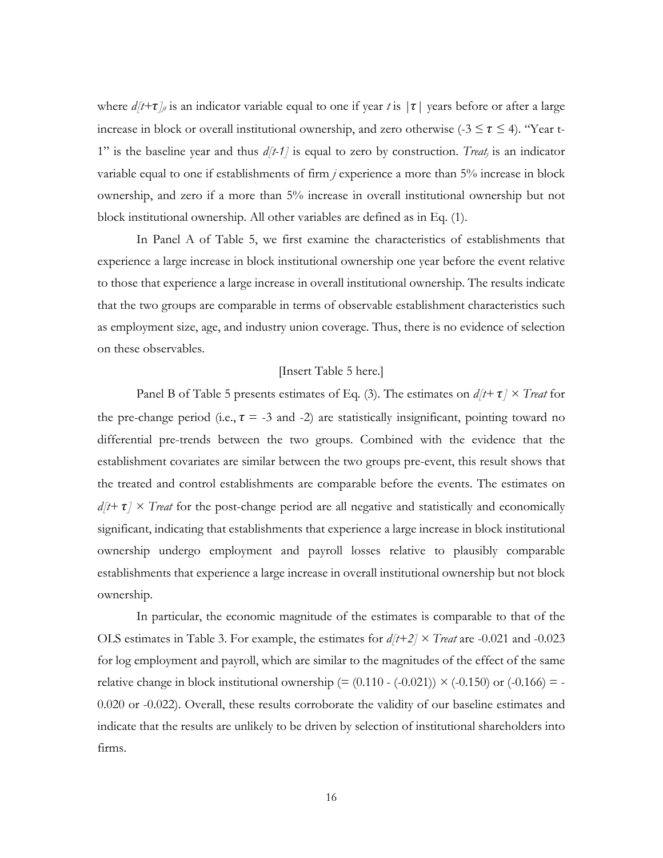where  $d/t+\tau_{j}$  is an indicator variable equal to one if year *t* is  $|\tau|$  years before or after a large increase in block or overall institutional ownership, and zero otherwise (-3  $\leq \tau \leq$  4). "Year t-1" is the baseline year and thus *d[t-1]* is equal to zero by construction. *Treatj* is an indicator variable equal to one if establishments of firm *j* experience a more than 5% increase in block ownership, and zero if a more than 5% increase in overall institutional ownership but not block institutional ownership. All other variables are defined as in Eq. (1).

In Panel A of Table 5, we first examine the characteristics of establishments that experience a large increase in block institutional ownership one year before the event relative to those that experience a large increase in overall institutional ownership. The results indicate that the two groups are comparable in terms of observable establishment characteristics such as employment size, age, and industry union coverage. Thus, there is no evidence of selection on these observables.

### [Insert Table 5 here.]

Panel B of Table 5 presents estimates of Eq. (3). The estimates on  $d/t + \tau \geq T \cdot \text{real}$  for the pre-change period (i.e.,  $\tau = -3$  and -2) are statistically insignificant, pointing toward no differential pre-trends between the two groups. Combined with the evidence that the establishment covariates are similar between the two groups pre-event, this result shows that the treated and control establishments are comparable before the events. The estimates on  $d/t + \tau$   $\times$  *Treat* for the post-change period are all negative and statistically and economically significant, indicating that establishments that experience a large increase in block institutional ownership undergo employment and payroll losses relative to plausibly comparable establishments that experience a large increase in overall institutional ownership but not block ownership.

In particular, the economic magnitude of the estimates is comparable to that of the OLS estimates in Table 3. For example, the estimates for *d[t+2] × Treat* are -0.021 and -0.023 for log employment and payroll, which are similar to the magnitudes of the effect of the same relative change in block institutional ownership  $(=(0.110 - (-0.021)) \times (-0.150)$  or  $(-0.166) = -0.166$ 0.020 or -0.022). Overall, these results corroborate the validity of our baseline estimates and indicate that the results are unlikely to be driven by selection of institutional shareholders into firms.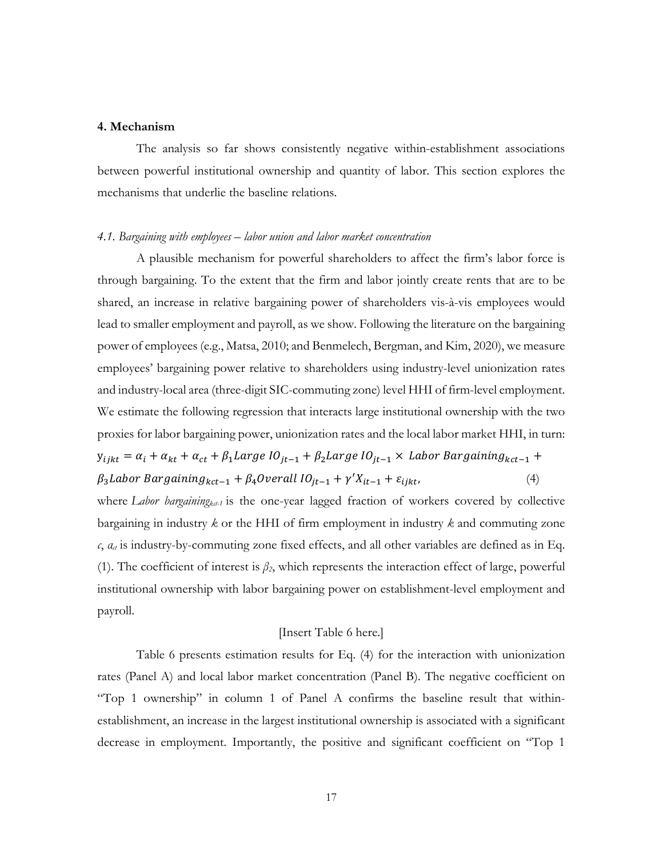# **4. Mechanism**

The analysis so far shows consistently negative within-establishment associations between powerful institutional ownership and quantity of labor. This section explores the mechanisms that underlie the baseline relations.

#### *4.1. Bargaining with employees – labor union and labor market concentration*

A plausible mechanism for powerful shareholders to affect the firm's labor force is through bargaining. To the extent that the firm and labor jointly create rents that are to be shared, an increase in relative bargaining power of shareholders vis-à-vis employees would lead to smaller employment and payroll, as we show. Following the literature on the bargaining power of employees (e.g., Matsa, 2010; and Benmelech, Bergman, and Kim, 2020), we measure employees' bargaining power relative to shareholders using industry-level unionization rates and industry-local area (three-digit SIC-commuting zone) level HHI of firm-level employment. We estimate the following regression that interacts large institutional ownership with the two proxies for labor bargaining power, unionization rates and the local labor market HHI, in turn:

 $y_{ijkt} = \alpha_i + \alpha_{kt} + \alpha_{ct} + \beta_1 Large~IO_{jt-1} + \beta_2 Large~IO_{jt-1} \times$  Labor Bargaining<sub>kct-1</sub> +  $\beta_3$ Labor Bargaining<sub>kct</sub><sub>-1</sub> +  $\beta_4$ Overall IO<sub>jt-1</sub> +  $\gamma' X_{it-1}$  +  $\varepsilon_{i jkt}$ , (4)

where *Labor bargaining<sub>ket-1</sub>* is the one-year lagged fraction of workers covered by collective bargaining in industry *k* or the HHI of firm employment in industry *k* and commuting zone  $c$ ,  $a_d$  is industry-by-commuting zone fixed effects, and all other variables are defined as in Eq. (1). The coefficient of interest is *β2*, which represents the interaction effect of large, powerful institutional ownership with labor bargaining power on establishment-level employment and payroll.

# [Insert Table 6 here.]

Table 6 presents estimation results for Eq. (4) for the interaction with unionization rates (Panel A) and local labor market concentration (Panel B). The negative coefficient on "Top 1 ownership" in column 1 of Panel A confirms the baseline result that withinestablishment, an increase in the largest institutional ownership is associated with a significant decrease in employment. Importantly, the positive and significant coefficient on "Top 1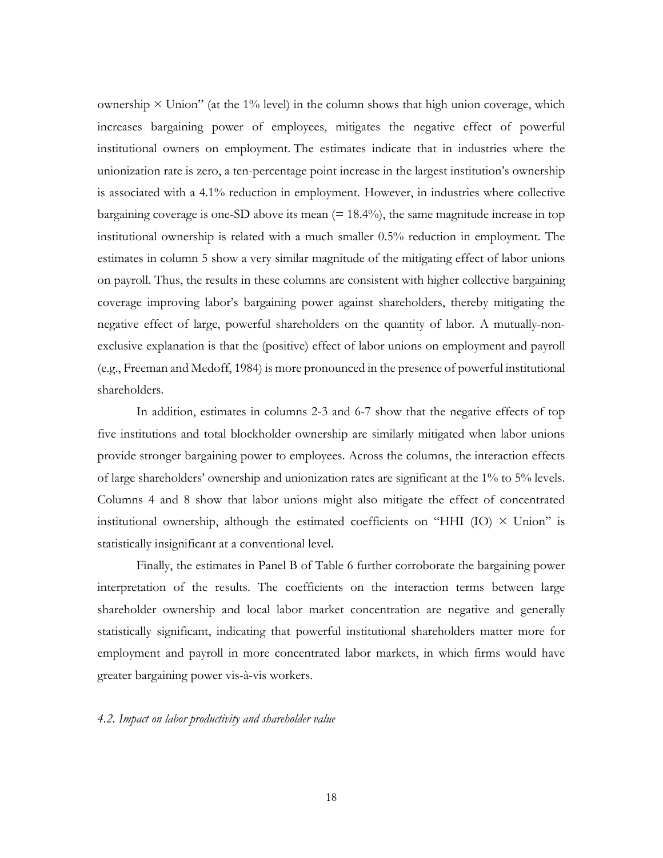ownership  $\times$  Union" (at the 1% level) in the column shows that high union coverage, which increases bargaining power of employees, mitigates the negative effect of powerful institutional owners on employment. The estimates indicate that in industries where the unionization rate is zero, a ten-percentage point increase in the largest institution's ownership is associated with a 4.1% reduction in employment. However, in industries where collective bargaining coverage is one-SD above its mean  $(= 18.4\%)$ , the same magnitude increase in top institutional ownership is related with a much smaller 0.5% reduction in employment. The estimates in column 5 show a very similar magnitude of the mitigating effect of labor unions on payroll. Thus, the results in these columns are consistent with higher collective bargaining coverage improving labor's bargaining power against shareholders, thereby mitigating the negative effect of large, powerful shareholders on the quantity of labor. A mutually-nonexclusive explanation is that the (positive) effect of labor unions on employment and payroll (e.g., Freeman and Medoff, 1984) is more pronounced in the presence of powerful institutional shareholders.

In addition, estimates in columns 2-3 and 6-7 show that the negative effects of top five institutions and total blockholder ownership are similarly mitigated when labor unions provide stronger bargaining power to employees. Across the columns, the interaction effects of large shareholders' ownership and unionization rates are significant at the 1% to 5% levels. Columns 4 and 8 show that labor unions might also mitigate the effect of concentrated institutional ownership, although the estimated coefficients on "HHI  $(IO) \times Union$ " is statistically insignificant at a conventional level.

Finally, the estimates in Panel B of Table 6 further corroborate the bargaining power interpretation of the results. The coefficients on the interaction terms between large shareholder ownership and local labor market concentration are negative and generally statistically significant, indicating that powerful institutional shareholders matter more for employment and payroll in more concentrated labor markets, in which firms would have greater bargaining power vis-à-vis workers.

### *4.2. Impact on labor productivity and shareholder value*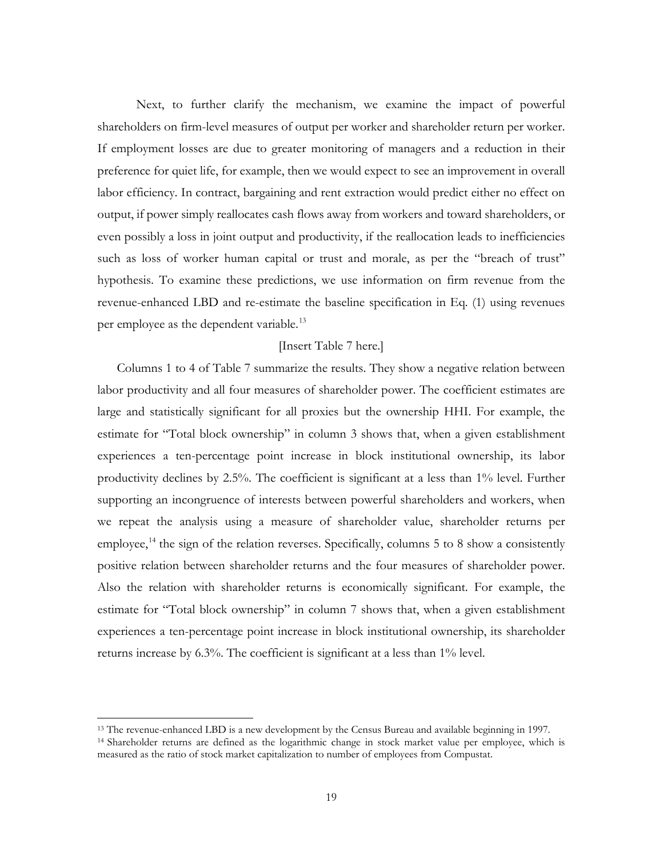Next, to further clarify the mechanism, we examine the impact of powerful shareholders on firm-level measures of output per worker and shareholder return per worker. If employment losses are due to greater monitoring of managers and a reduction in their preference for quiet life, for example, then we would expect to see an improvement in overall labor efficiency. In contract, bargaining and rent extraction would predict either no effect on output, if power simply reallocates cash flows away from workers and toward shareholders, or even possibly a loss in joint output and productivity, if the reallocation leads to inefficiencies such as loss of worker human capital or trust and morale, as per the "breach of trust" hypothesis. To examine these predictions, we use information on firm revenue from the revenue-enhanced LBD and re-estimate the baseline specification in Eq. (1) using revenues per employee as the dependent variable.<sup>[13](#page-19-0)</sup>

# [Insert Table 7 here.]

 Columns 1 to 4 of Table 7 summarize the results. They show a negative relation between labor productivity and all four measures of shareholder power. The coefficient estimates are large and statistically significant for all proxies but the ownership HHI. For example, the estimate for "Total block ownership" in column 3 shows that, when a given establishment experiences a ten-percentage point increase in block institutional ownership, its labor productivity declines by 2.5%. The coefficient is significant at a less than 1% level. Further supporting an incongruence of interests between powerful shareholders and workers, when we repeat the analysis using a measure of shareholder value, shareholder returns per employee,<sup>[14](#page-19-1)</sup> the sign of the relation reverses. Specifically, columns  $5$  to  $8$  show a consistently positive relation between shareholder returns and the four measures of shareholder power. Also the relation with shareholder returns is economically significant. For example, the estimate for "Total block ownership" in column 7 shows that, when a given establishment experiences a ten-percentage point increase in block institutional ownership, its shareholder returns increase by 6.3%. The coefficient is significant at a less than 1% level.

l

<span id="page-19-0"></span><sup>&</sup>lt;sup>13</sup> The revenue-enhanced LBD is a new development by the Census Bureau and available beginning in 1997.

<span id="page-19-1"></span><sup>14</sup> Shareholder returns are defined as the logarithmic change in stock market value per employee, which is measured as the ratio of stock market capitalization to number of employees from Compustat.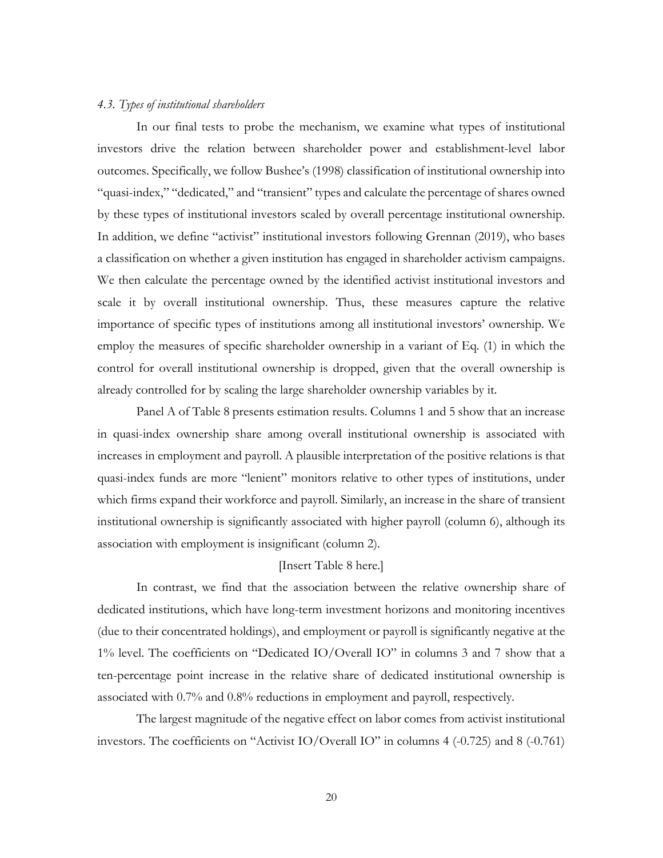#### *4.3. Types of institutional shareholders*

In our final tests to probe the mechanism, we examine what types of institutional investors drive the relation between shareholder power and establishment-level labor outcomes. Specifically, we follow Bushee's (1998) classification of institutional ownership into "quasi-index," "dedicated," and "transient" types and calculate the percentage of shares owned by these types of institutional investors scaled by overall percentage institutional ownership. In addition, we define "activist" institutional investors following Grennan (2019), who bases a classification on whether a given institution has engaged in shareholder activism campaigns. We then calculate the percentage owned by the identified activist institutional investors and scale it by overall institutional ownership. Thus, these measures capture the relative importance of specific types of institutions among all institutional investors' ownership. We employ the measures of specific shareholder ownership in a variant of Eq. (1) in which the control for overall institutional ownership is dropped, given that the overall ownership is already controlled for by scaling the large shareholder ownership variables by it.

Panel A of Table 8 presents estimation results. Columns 1 and 5 show that an increase in quasi-index ownership share among overall institutional ownership is associated with increases in employment and payroll. A plausible interpretation of the positive relations is that quasi-index funds are more "lenient" monitors relative to other types of institutions, under which firms expand their workforce and payroll. Similarly, an increase in the share of transient institutional ownership is significantly associated with higher payroll (column 6), although its association with employment is insignificant (column 2).

# [Insert Table 8 here.]

In contrast, we find that the association between the relative ownership share of dedicated institutions, which have long-term investment horizons and monitoring incentives (due to their concentrated holdings), and employment or payroll is significantly negative at the 1% level. The coefficients on "Dedicated IO/Overall IO" in columns 3 and 7 show that a ten-percentage point increase in the relative share of dedicated institutional ownership is associated with 0.7% and 0.8% reductions in employment and payroll, respectively.

The largest magnitude of the negative effect on labor comes from activist institutional investors. The coefficients on "Activist IO/Overall IO" in columns 4 (-0.725) and 8 (-0.761)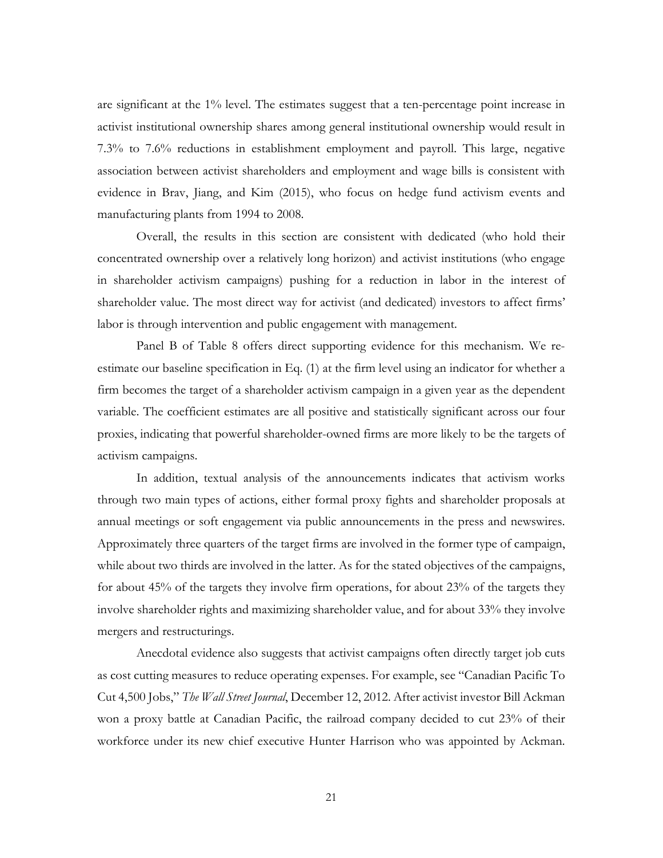are significant at the 1% level. The estimates suggest that a ten-percentage point increase in activist institutional ownership shares among general institutional ownership would result in 7.3% to 7.6% reductions in establishment employment and payroll. This large, negative association between activist shareholders and employment and wage bills is consistent with evidence in Brav, Jiang, and Kim (2015), who focus on hedge fund activism events and manufacturing plants from 1994 to 2008.

Overall, the results in this section are consistent with dedicated (who hold their concentrated ownership over a relatively long horizon) and activist institutions (who engage in shareholder activism campaigns) pushing for a reduction in labor in the interest of shareholder value. The most direct way for activist (and dedicated) investors to affect firms' labor is through intervention and public engagement with management.

Panel B of Table 8 offers direct supporting evidence for this mechanism. We reestimate our baseline specification in Eq. (1) at the firm level using an indicator for whether a firm becomes the target of a shareholder activism campaign in a given year as the dependent variable. The coefficient estimates are all positive and statistically significant across our four proxies, indicating that powerful shareholder-owned firms are more likely to be the targets of activism campaigns.

In addition, textual analysis of the announcements indicates that activism works through two main types of actions, either formal proxy fights and shareholder proposals at annual meetings or soft engagement via public announcements in the press and newswires. Approximately three quarters of the target firms are involved in the former type of campaign, while about two thirds are involved in the latter. As for the stated objectives of the campaigns, for about 45% of the targets they involve firm operations, for about 23% of the targets they involve shareholder rights and maximizing shareholder value, and for about 33% they involve mergers and restructurings.

Anecdotal evidence also suggests that activist campaigns often directly target job cuts as cost cutting measures to reduce operating expenses. For example, see "Canadian Pacific To Cut 4,500 Jobs," *The Wall Street Journal*, December 12, 2012. After activist investor Bill Ackman won a proxy battle at Canadian Pacific, the railroad company decided to cut 23% of their workforce under its new chief executive Hunter Harrison who was appointed by Ackman.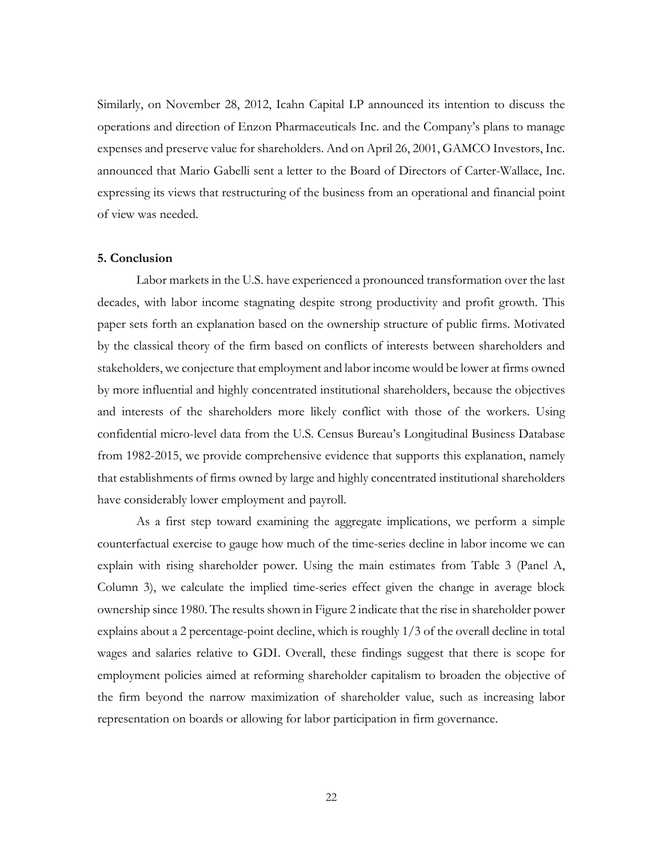Similarly, on November 28, 2012, Icahn Capital LP announced its intention to discuss the operations and direction of Enzon Pharmaceuticals Inc. and the Company's plans to manage expenses and preserve value for shareholders. And on April 26, 2001, GAMCO Investors, Inc. announced that Mario Gabelli sent a letter to the Board of Directors of Carter-Wallace, Inc. expressing its views that restructuring of the business from an operational and financial point of view was needed.

# **5. Conclusion**

Labor markets in the U.S. have experienced a pronounced transformation over the last decades, with labor income stagnating despite strong productivity and profit growth. This paper sets forth an explanation based on the ownership structure of public firms. Motivated by the classical theory of the firm based on conflicts of interests between shareholders and stakeholders, we conjecture that employment and labor income would be lower at firms owned by more influential and highly concentrated institutional shareholders, because the objectives and interests of the shareholders more likely conflict with those of the workers. Using confidential micro-level data from the U.S. Census Bureau's Longitudinal Business Database from 1982-2015, we provide comprehensive evidence that supports this explanation, namely that establishments of firms owned by large and highly concentrated institutional shareholders have considerably lower employment and payroll.

As a first step toward examining the aggregate implications, we perform a simple counterfactual exercise to gauge how much of the time-series decline in labor income we can explain with rising shareholder power. Using the main estimates from Table 3 (Panel A, Column 3), we calculate the implied time-series effect given the change in average block ownership since 1980. The results shown in Figure 2 indicate that the rise in shareholder power explains about a 2 percentage-point decline, which is roughly 1/3 of the overall decline in total wages and salaries relative to GDI. Overall, these findings suggest that there is scope for employment policies aimed at reforming shareholder capitalism to broaden the objective of the firm beyond the narrow maximization of shareholder value, such as increasing labor representation on boards or allowing for labor participation in firm governance.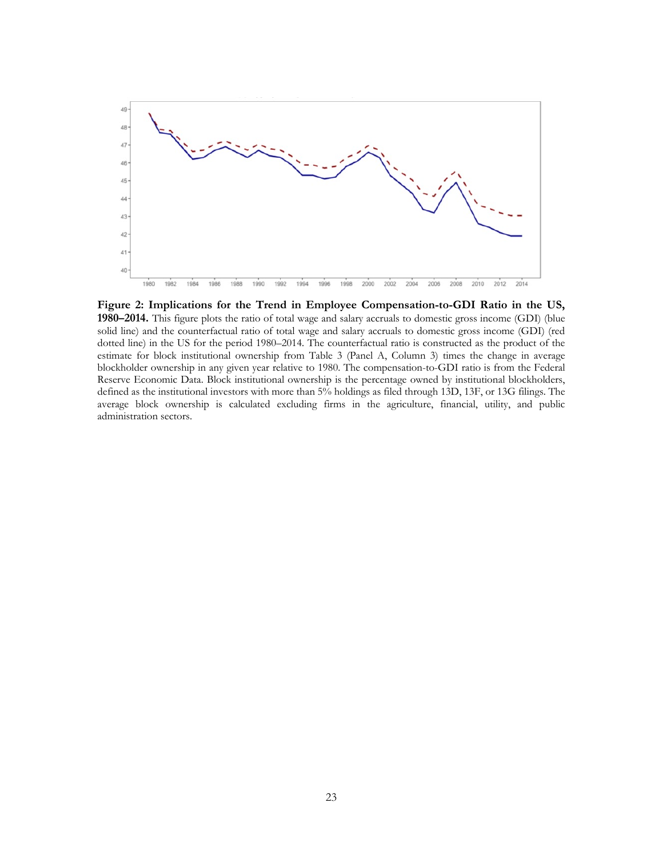

**Figure 2: Implications for the Trend in Employee Compensation-to-GDI Ratio in the US, 1980–2014.** This figure plots the ratio of total wage and salary accruals to domestic gross income (GDI) (blue solid line) and the counterfactual ratio of total wage and salary accruals to domestic gross income (GDI) (red dotted line) in the US for the period 1980–2014. The counterfactual ratio is constructed as the product of the estimate for block institutional ownership from Table 3 (Panel A, Column 3) times the change in average blockholder ownership in any given year relative to 1980. The compensation-to-GDI ratio is from the Federal Reserve Economic Data. Block institutional ownership is the percentage owned by institutional blockholders, defined as the institutional investors with more than 5% holdings as filed through 13D, 13F, or 13G filings. The average block ownership is calculated excluding firms in the agriculture, financial, utility, and public administration sectors.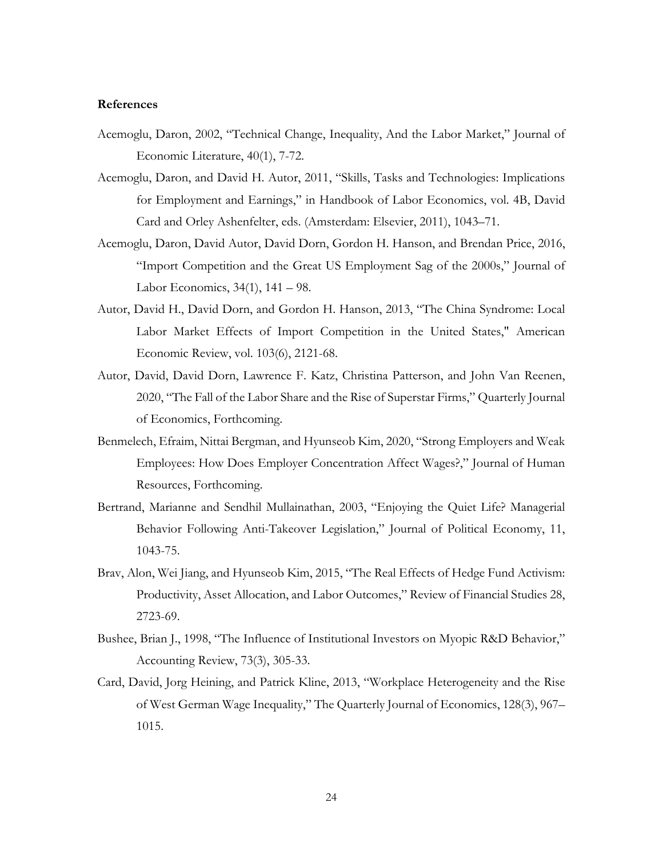# **References**

- Acemoglu, Daron, 2002, "Technical Change, Inequality, And the Labor Market," Journal of Economic Literature, 40(1), 7-72.
- Acemoglu, Daron, and David H. Autor, 2011, "Skills, Tasks and Technologies: Implications for Employment and Earnings," in Handbook of Labor Economics, vol. 4B, David Card and Orley Ashenfelter, eds. (Amsterdam: Elsevier, 2011), 1043–71.
- Acemoglu, Daron, David Autor, David Dorn, Gordon H. Hanson, and Brendan Price, 2016, "Import Competition and the Great US Employment Sag of the 2000s," Journal of Labor Economics, 34(1), 141 – 98.
- Autor, David H., David Dorn, and Gordon H. Hanson, 2013, "The China Syndrome: Local Labor Market Effects of Import Competition in the United States," American Economic Review, vol. 103(6), 2121-68.
- Autor, David, David Dorn, Lawrence F. Katz, Christina Patterson, and John Van Reenen, 2020, "The Fall of the Labor Share and the Rise of Superstar Firms," Quarterly Journal of Economics, Forthcoming.
- Benmelech, Efraim, Nittai Bergman, and Hyunseob Kim, 2020, "Strong Employers and Weak Employees: How Does Employer Concentration Affect Wages?," Journal of Human Resources, Forthcoming.
- Bertrand, Marianne and Sendhil Mullainathan, 2003, "Enjoying the Quiet Life? Managerial Behavior Following Anti-Takeover Legislation," Journal of Political Economy, 11, 1043-75.
- Brav, Alon, Wei Jiang, and Hyunseob Kim, 2015, "The Real Effects of Hedge Fund Activism: Productivity, Asset Allocation, and Labor Outcomes," Review of Financial Studies 28, 2723-69.
- Bushee, Brian J., 1998, "The Influence of Institutional Investors on Myopic R&D Behavior," Accounting Review, 73(3), 305-33.
- Card, David, Jorg Heining, and Patrick Kline, 2013, "Workplace Heterogeneity and the Rise of West German Wage Inequality," The Quarterly Journal of Economics, 128(3), 967– 1015.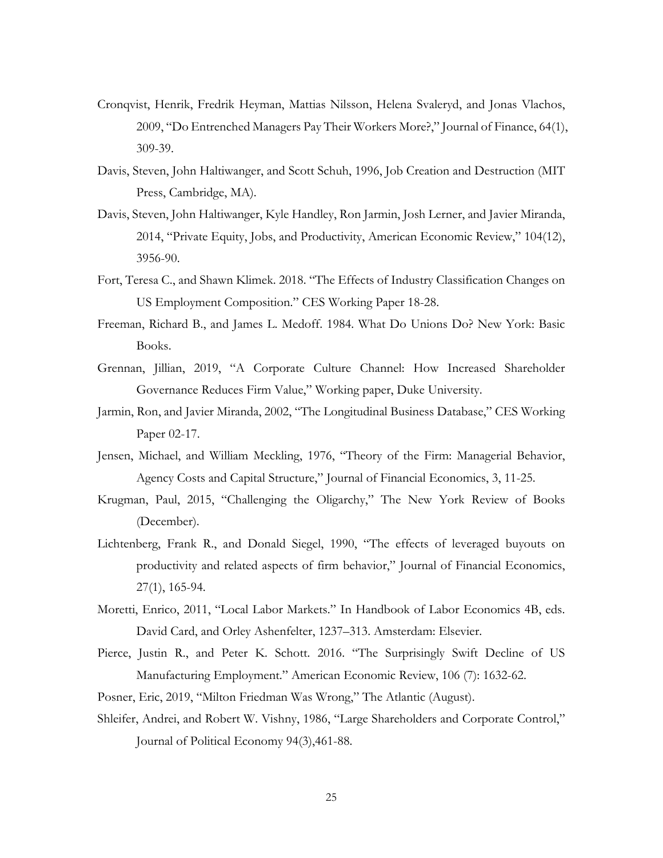- Cronqvist, Henrik, Fredrik Heyman, Mattias Nilsson, Helena Svaleryd, and Jonas Vlachos, 2009, "Do Entrenched Managers Pay Their Workers More?," Journal of Finance, 64(1), 309-39.
- Davis, Steven, John Haltiwanger, and Scott Schuh, 1996, Job Creation and Destruction (MIT Press, Cambridge, MA).
- Davis, Steven, John Haltiwanger, Kyle Handley, Ron Jarmin, Josh Lerner, and Javier Miranda, 2014, "Private Equity, Jobs, and Productivity, American Economic Review," 104(12), 3956-90.
- Fort, Teresa C., and Shawn Klimek. 2018. "The Effects of Industry Classification Changes on US Employment Composition." CES Working Paper 18-28.
- Freeman, Richard B., and James L. Medoff. 1984. What Do Unions Do? New York: Basic Books.
- Grennan, Jillian, 2019, "A Corporate Culture Channel: How Increased Shareholder Governance Reduces Firm Value," Working paper, Duke University.
- Jarmin, Ron, and Javier Miranda, 2002, "The Longitudinal Business Database," CES Working Paper 02-17.
- Jensen, Michael, and William Meckling, 1976, "Theory of the Firm: Managerial Behavior, Agency Costs and Capital Structure," Journal of Financial Economics, 3, 11-25.
- Krugman, Paul, 2015, "Challenging the Oligarchy," The New York Review of Books (December).
- Lichtenberg, Frank R., and Donald Siegel, 1990, "The effects of leveraged buyouts on productivity and related aspects of firm behavior," Journal of Financial Economics, 27(1), 165-94.
- Moretti, Enrico, 2011, "Local Labor Markets." In Handbook of Labor Economics 4B, eds. David Card, and Orley Ashenfelter, 1237–313. Amsterdam: Elsevier.
- Pierce, Justin R., and Peter K. Schott. 2016. "The Surprisingly Swift Decline of US Manufacturing Employment." American Economic Review, 106 (7): 1632-62.
- Posner, Eric, 2019, "Milton Friedman Was Wrong," The Atlantic (August).
- Shleifer, Andrei, and Robert W. Vishny, 1986, "Large Shareholders and Corporate Control," Journal of Political Economy 94(3),461-88.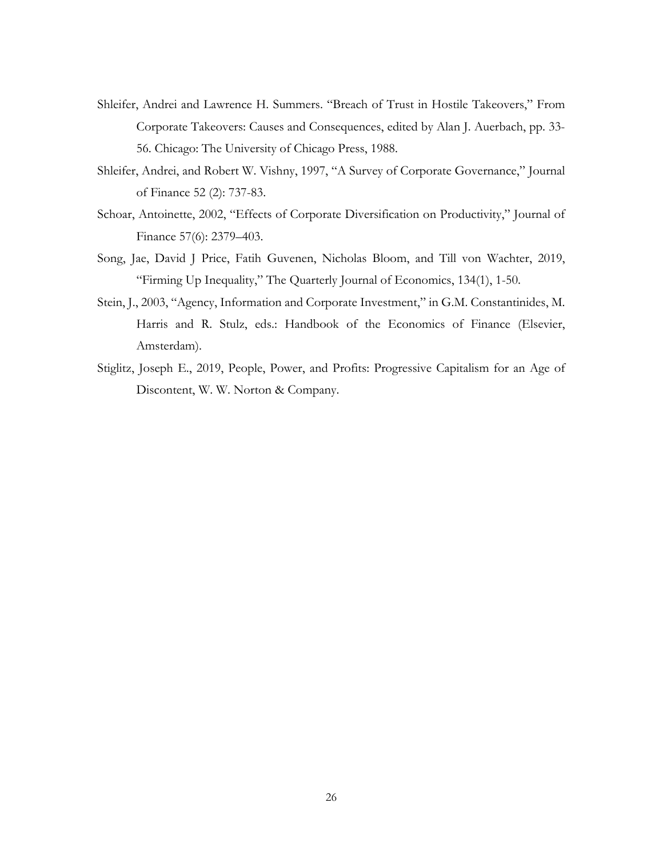- Shleifer, Andrei and Lawrence H. Summers. "Breach of Trust in Hostile Takeovers," From Corporate Takeovers: Causes and Consequences, edited by Alan J. Auerbach, pp. 33- 56. Chicago: The University of Chicago Press, 1988.
- Shleifer, Andrei, and Robert W. Vishny, 1997, "A Survey of Corporate Governance," Journal of Finance 52 (2): 737-83.
- Schoar, Antoinette, 2002, "Effects of Corporate Diversification on Productivity," Journal of Finance 57(6): 2379–403.
- Song, Jae, David J Price, Fatih Guvenen, Nicholas Bloom, and Till von Wachter, 2019, "Firming Up Inequality," The Quarterly Journal of Economics, 134(1), 1-50.
- Stein, J., 2003, "Agency, Information and Corporate Investment," in G.M. Constantinides, M. Harris and R. Stulz, eds.: Handbook of the Economics of Finance (Elsevier, Amsterdam).
- Stiglitz, Joseph E., 2019, People, Power, and Profits: Progressive Capitalism for an Age of Discontent, W. W. Norton & Company.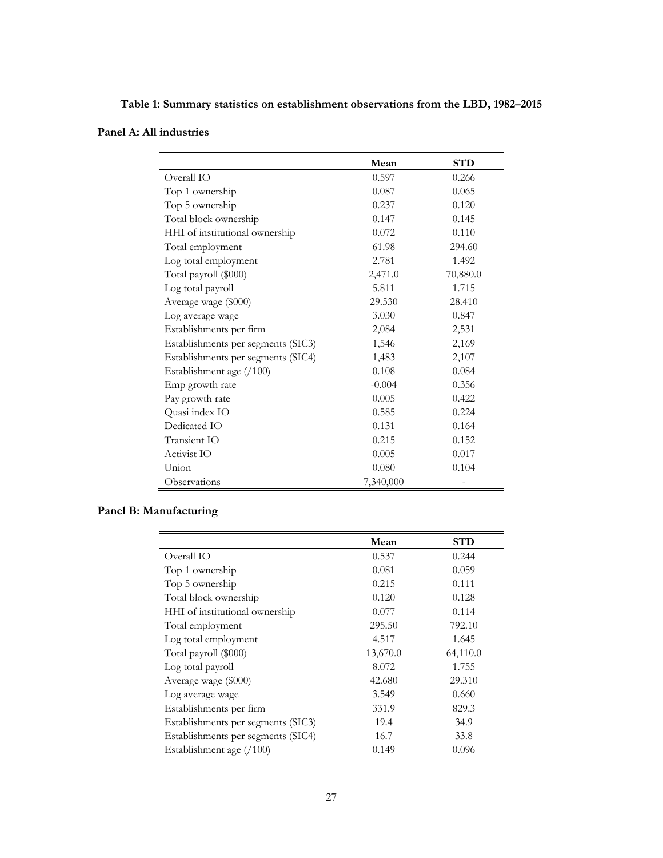**Table 1: Summary statistics on establishment observations from the LBD, 1982–2015**

|                                    | Mean      | <b>STD</b> |
|------------------------------------|-----------|------------|
| Overall IO                         | 0.597     | 0.266      |
| Top 1 ownership                    | 0.087     | 0.065      |
| Top 5 ownership                    | 0.237     | 0.120      |
| Total block ownership              | 0.147     | 0.145      |
| HHI of institutional ownership     | 0.072     | 0.110      |
| Total employment                   | 61.98     | 294.60     |
| Log total employment               | 2.781     | 1.492      |
| Total payroll (\$000)              | 2,471.0   | 70,880.0   |
| Log total payroll                  | 5.811     | 1.715      |
| Average wage (\$000)               | 29.530    | 28.410     |
| Log average wage                   | 3.030     | 0.847      |
| Establishments per firm            | 2,084     | 2,531      |
| Establishments per segments (SIC3) | 1,546     | 2,169      |
| Establishments per segments (SIC4) | 1,483     | 2,107      |
| Establishment age (/100)           | 0.108     | 0.084      |
| Emp growth rate                    | $-0.004$  | 0.356      |
| Pay growth rate                    | 0.005     | 0.422      |
| Quasi index IO                     | 0.585     | 0.224      |
| Dedicated IO                       | 0.131     | 0.164      |
| Transient IO                       | 0.215     | 0.152      |
| Activist IO                        | 0.005     | 0.017      |
| Union                              | 0.080     | 0.104      |
| Observations                       | 7,340,000 | -          |

# **Panel B: Manufacturing**

|                                    | Mean     | <b>STD</b> |
|------------------------------------|----------|------------|
| Overall IO                         | 0.537    | 0.244      |
| Top 1 ownership                    | 0.081    | 0.059      |
| Top 5 ownership                    | 0.215    | 0.111      |
| Total block ownership              | 0.120    | 0.128      |
| HHI of institutional ownership     | 0.077    | 0.114      |
| Total employment                   | 295.50   | 792.10     |
| Log total employment               | 4.517    | 1.645      |
| Total payroll (\$000)              | 13,670.0 | 64,110.0   |
| Log total payroll                  | 8.072    | 1.755      |
| Average wage (\$000)               | 42.680   | 29.310     |
| Log average wage                   | 3.549    | 0.660      |
| Establishments per firm            | 331.9    | 829.3      |
| Establishments per segments (SIC3) | 19.4     | 34.9       |
| Establishments per segments (SIC4) | 16.7     | 33.8       |
| Establishment age $(100)$          | 0.149    | 0.096      |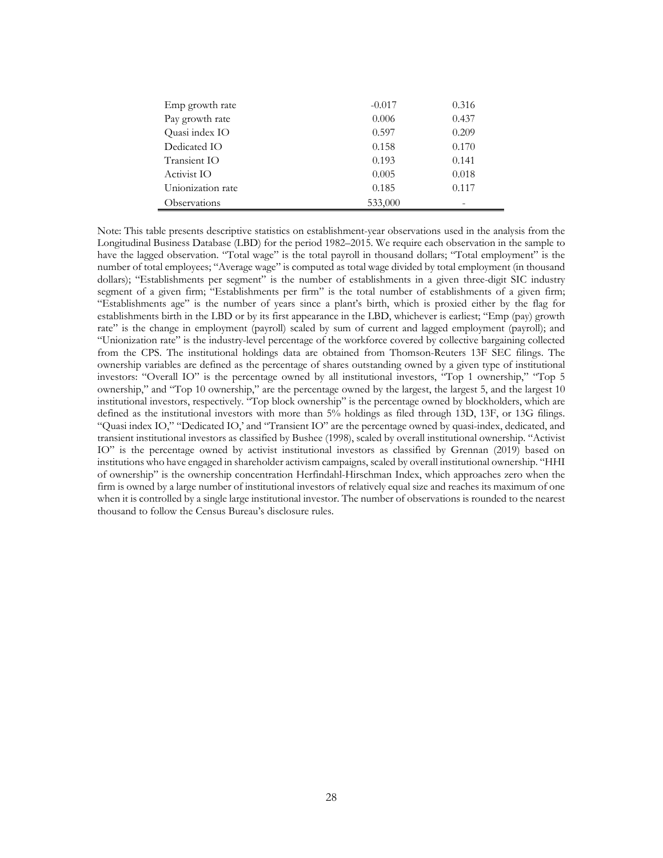| Emp growth rate   | $-0.017$ | 0.316 |  |
|-------------------|----------|-------|--|
| Pay growth rate   | 0.006    | 0.437 |  |
| Quasi index IO    | 0.597    | 0.209 |  |
| Dedicated IO      | 0.158    | 0.170 |  |
| Transient IO      | 0.193    | 0.141 |  |
| Activist IO       | 0.005    | 0.018 |  |
| Unionization rate | 0.185    | 0.117 |  |
| Observations      | 533,000  |       |  |

ċ

Note: This table presents descriptive statistics on establishment-year observations used in the analysis from the Longitudinal Business Database (LBD) for the period 1982–2015. We require each observation in the sample to have the lagged observation. "Total wage" is the total payroll in thousand dollars; "Total employment" is the number of total employees; "Average wage" is computed as total wage divided by total employment (in thousand dollars); "Establishments per segment" is the number of establishments in a given three-digit SIC industry segment of a given firm; "Establishments per firm" is the total number of establishments of a given firm; "Establishments age" is the number of years since a plant's birth, which is proxied either by the flag for establishments birth in the LBD or by its first appearance in the LBD, whichever is earliest; "Emp (pay) growth rate" is the change in employment (payroll) scaled by sum of current and lagged employment (payroll); and "Unionization rate" is the industry-level percentage of the workforce covered by collective bargaining collected from the CPS. The institutional holdings data are obtained from Thomson-Reuters 13F SEC filings. The ownership variables are defined as the percentage of shares outstanding owned by a given type of institutional investors: "Overall IO" is the percentage owned by all institutional investors, "Top 1 ownership," "Top 5 ownership," and "Top 10 ownership," are the percentage owned by the largest, the largest 5, and the largest 10 institutional investors, respectively. "Top block ownership" is the percentage owned by blockholders, which are defined as the institutional investors with more than 5% holdings as filed through 13D, 13F, or 13G filings. "Quasi index IO," "Dedicated IO,' and "Transient IO" are the percentage owned by quasi-index, dedicated, and transient institutional investors as classified by Bushee (1998), scaled by overall institutional ownership. "Activist IO" is the percentage owned by activist institutional investors as classified by Grennan (2019) based on institutions who have engaged in shareholder activism campaigns, scaled by overall institutional ownership. "HHI of ownership" is the ownership concentration Herfindahl-Hirschman Index, which approaches zero when the firm is owned by a large number of institutional investors of relatively equal size and reaches its maximum of one when it is controlled by a single large institutional investor. The number of observations is rounded to the nearest thousand to follow the Census Bureau's disclosure rules.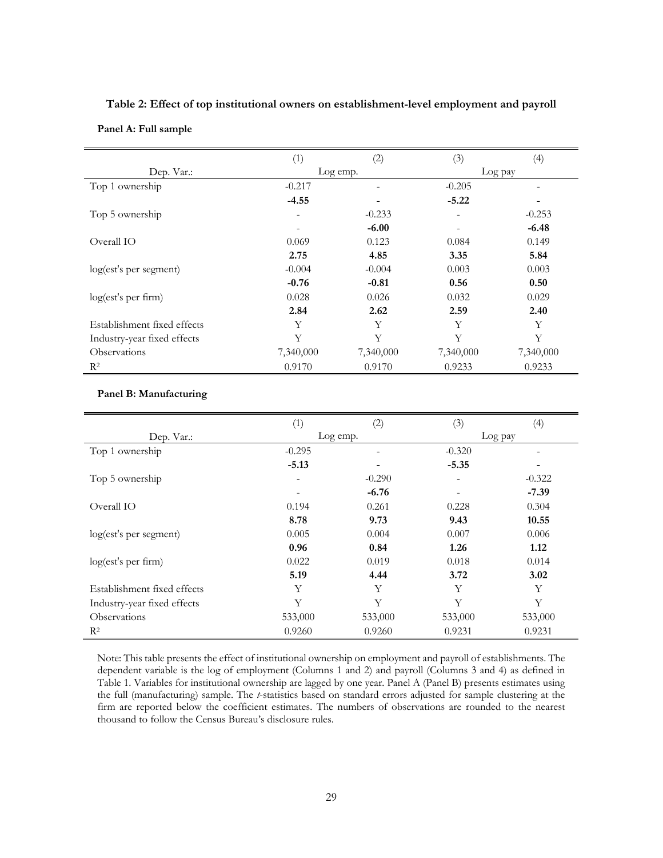|                             | (1)                      | (2)       | (3)                      | (4)                      |
|-----------------------------|--------------------------|-----------|--------------------------|--------------------------|
| Dep. Var.:                  |                          | Log emp.  |                          | Log pay                  |
| Top 1 ownership             | $-0.217$                 | ۰         | $-0.205$                 | $\overline{\phantom{a}}$ |
|                             | $-4.55$                  | ۰         | $-5.22$                  |                          |
| Top 5 ownership             | ۰                        | $-0.233$  | $\qquad \qquad -$        | $-0.253$                 |
|                             | $\overline{\phantom{a}}$ | $-6.00$   | $\overline{\phantom{a}}$ | $-6.48$                  |
| Overall IO                  | 0.069                    | 0.123     | 0.084                    | 0.149                    |
|                             | 2.75                     | 4.85      | 3.35                     | 5.84                     |
| log(est's per segment)      | $-0.004$                 | $-0.004$  | 0.003                    | 0.003                    |
|                             | $-0.76$                  | $-0.81$   | 0.56                     | 0.50                     |
| log(est's per firm)         | 0.028                    | 0.026     | 0.032                    | 0.029                    |
|                             | 2.84                     | 2.62      | 2.59                     | 2.40                     |
| Establishment fixed effects | Y                        | Y         | Y                        | Y                        |
| Industry-year fixed effects | Y                        | Y         | Y                        | Y                        |
| <b>Observations</b>         | 7,340,000                | 7,340,000 | 7,340,000                | 7,340,000                |
| R <sup>2</sup>              | 0.9170                   | 0.9170    | 0.9233                   | 0.9233                   |

**Table 2: Effect of top institutional owners on establishment-level employment and payroll Panel A: Full sample**

### **Panel B: Manufacturing**

|                             | (1)      | (2)                      | (3)                      | (4)      |
|-----------------------------|----------|--------------------------|--------------------------|----------|
| Dep. Var.:                  |          | Log emp.                 |                          | Log pay  |
| Top 1 ownership             | $-0.295$ | $\overline{\phantom{a}}$ | $-0.320$                 | -        |
|                             | $-5.13$  |                          | $-5.35$                  | ۰        |
| Top 5 ownership             | -        | $-0.290$                 | $\qquad \qquad -$        | $-0.322$ |
|                             |          | $-6.76$                  | $\overline{\phantom{a}}$ | $-7.39$  |
| Overall IO                  | 0.194    | 0.261                    | 0.228                    | 0.304    |
|                             | 8.78     | 9.73                     | 9.43                     | 10.55    |
| log(est's per segment)      | 0.005    | 0.004                    | 0.007                    | 0.006    |
|                             | 0.96     | 0.84                     | 1.26                     | 1.12     |
| log(est's per firm)         | 0.022    | 0.019                    | 0.018                    | 0.014    |
|                             | 5.19     | 4.44                     | 3.72                     | 3.02     |
| Establishment fixed effects | Y        | Y                        | Y                        | Y        |
| Industry-year fixed effects | Y        | Y                        | Y                        | Y        |
| <b>Observations</b>         | 533,000  | 533,000                  | 533,000                  | 533,000  |
| $R^2$                       | 0.9260   | 0.9260                   | 0.9231                   | 0.9231   |

Note: This table presents the effect of institutional ownership on employment and payroll of establishments. The dependent variable is the log of employment (Columns 1 and 2) and payroll (Columns 3 and 4) as defined in Table 1. Variables for institutional ownership are lagged by one year. Panel A (Panel B) presents estimates using the full (manufacturing) sample. The *t*-statistics based on standard errors adjusted for sample clustering at the firm are reported below the coefficient estimates. The numbers of observations are rounded to the nearest thousand to follow the Census Bureau's disclosure rules.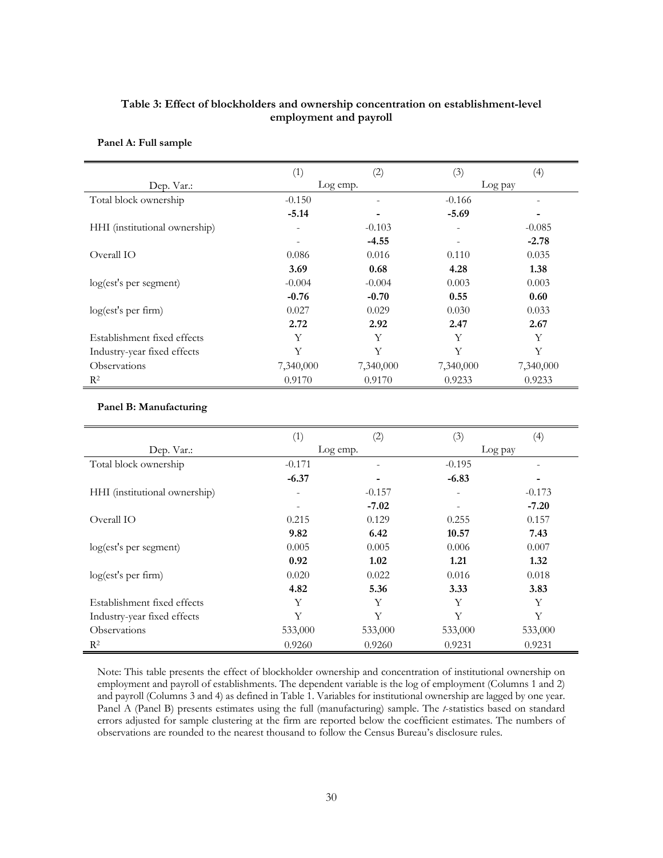# **Table 3: Effect of blockholders and ownership concentration on establishment-level employment and payroll**

|                               | (1)       | (2)       | (3)       | (4)       |
|-------------------------------|-----------|-----------|-----------|-----------|
| Dep. Var.:                    |           | Log emp.  |           | Log pay   |
| Total block ownership         | $-0.150$  | ٠         | $-0.166$  |           |
|                               | $-5.14$   |           | $-5.69$   |           |
| HHI (institutional ownership) | ۰         | $-0.103$  |           | $-0.085$  |
|                               | -         | $-4.55$   | -         | $-2.78$   |
| Overall IO                    | 0.086     | 0.016     | 0.110     | 0.035     |
|                               | 3.69      | 0.68      | 4.28      | 1.38      |
| log(est's per segment)        | $-0.004$  | $-0.004$  | 0.003     | 0.003     |
|                               | $-0.76$   | $-0.70$   | 0.55      | 0.60      |
| log(est's per firm)           | 0.027     | 0.029     | 0.030     | 0.033     |
|                               | 2.72      | 2.92      | 2.47      | 2.67      |
| Establishment fixed effects   | Y         | Y         | Y         | Y         |
| Industry-year fixed effects   | Y         | Y         | Y         | Y         |
| <i><b>Observations</b></i>    | 7,340,000 | 7,340,000 | 7,340,000 | 7,340,000 |
| R <sup>2</sup>                | 0.9170    | 0.9170    | 0.9233    | 0.9233    |

### **Panel A: Full sample**

#### **Panel B: Manufacturing**

|                               | (1)                      | (2)      | (3)      | $\left(4\right)$ |
|-------------------------------|--------------------------|----------|----------|------------------|
| Dep. Var.:                    |                          | Log emp. |          | Log pay          |
| Total block ownership         | $-0.171$                 |          | $-0.195$ |                  |
|                               | $-6.37$                  | ٠        | $-6.83$  |                  |
| HHI (institutional ownership) | ۰                        | $-0.157$ |          | $-0.173$         |
|                               | $\overline{\phantom{a}}$ | $-7.02$  |          | $-7.20$          |
| Overall IO                    | 0.215                    | 0.129    | 0.255    | 0.157            |
|                               | 9.82                     | 6.42     | 10.57    | 7.43             |
| log(est's per segment)        | 0.005                    | 0.005    | 0.006    | 0.007            |
|                               | 0.92                     | 1.02     | 1.21     | 1.32             |
| log(est's per firm)           | 0.020                    | 0.022    | 0.016    | 0.018            |
|                               | 4.82                     | 5.36     | 3.33     | 3.83             |
| Establishment fixed effects   | Y                        | Υ        | Y        | Y                |
| Industry-year fixed effects   | Υ                        | Y        | Y        | Y                |
| Observations                  | 533,000                  | 533,000  | 533,000  | 533,000          |
| $R^2$                         | 0.9260                   | 0.9260   | 0.9231   | 0.9231           |

Note: This table presents the effect of blockholder ownership and concentration of institutional ownership on employment and payroll of establishments. The dependent variable is the log of employment (Columns 1 and 2) and payroll (Columns 3 and 4) as defined in Table 1. Variables for institutional ownership are lagged by one year. Panel A (Panel B) presents estimates using the full (manufacturing) sample. The *t*-statistics based on standard errors adjusted for sample clustering at the firm are reported below the coefficient estimates. The numbers of observations are rounded to the nearest thousand to follow the Census Bureau's disclosure rules.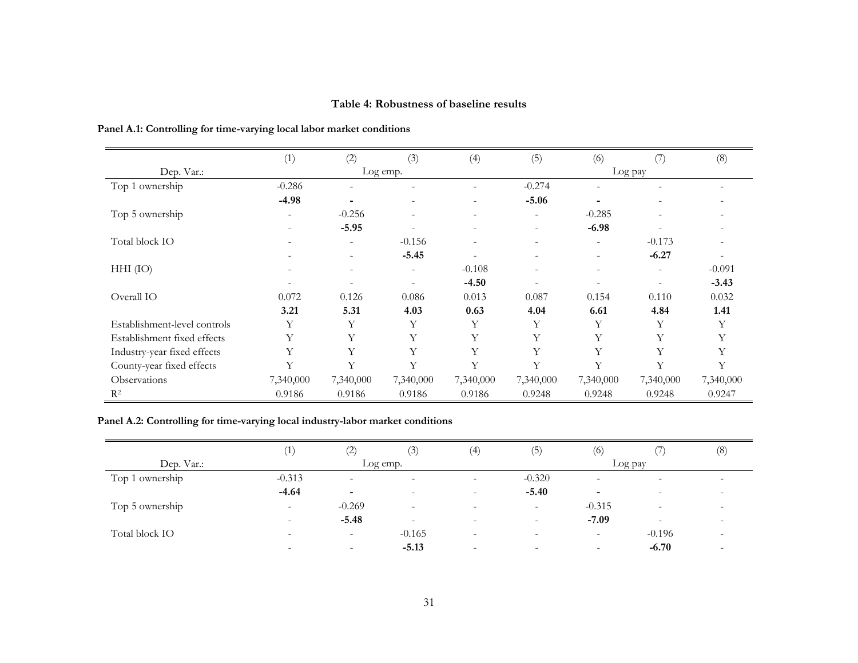# **Table 4: Robustness of baseline results**

|                              | (1)                      | (2)                      | (3)                      | (4)                      | (5)                      | (6)                      | (7)                      | (8)                      |
|------------------------------|--------------------------|--------------------------|--------------------------|--------------------------|--------------------------|--------------------------|--------------------------|--------------------------|
| Dep. Var.:                   |                          |                          | Log emp.                 |                          |                          |                          | Log pay                  |                          |
| Top 1 ownership              | $-0.286$                 | $\overline{\phantom{a}}$ |                          |                          | $-0.274$                 | ۰                        |                          |                          |
|                              | $-4.98$                  | ٠                        | $\overline{\phantom{a}}$ |                          | $-5.06$                  |                          |                          |                          |
| Top 5 ownership              |                          | $-0.256$                 | $\overline{\phantom{a}}$ |                          | $\overline{\phantom{0}}$ | $-0.285$                 |                          |                          |
|                              |                          | $-5.95$                  |                          | $\overline{\phantom{a}}$ | $\overline{\phantom{0}}$ | $-6.98$                  |                          |                          |
| Total block IO               | $\overline{\phantom{a}}$ | $\overline{\phantom{a}}$ | $-0.156$                 | $\overline{\phantom{0}}$ | $\overline{\phantom{a}}$ | ٠                        | $-0.173$                 |                          |
|                              |                          |                          | $-5.45$                  |                          |                          | $\overline{\phantom{0}}$ | $-6.27$                  | $\overline{\phantom{a}}$ |
| $HHI$ (IO)                   | $\overline{\phantom{a}}$ | $\overline{\phantom{a}}$ | $\overline{\phantom{a}}$ | $-0.108$                 | $\overline{\phantom{a}}$ | $\overline{\phantom{0}}$ | $\overline{\phantom{a}}$ | $-0.091$                 |
|                              |                          | $\overline{\phantom{a}}$ | $\overline{\phantom{a}}$ | $-4.50$                  |                          | $\overline{\phantom{0}}$ | $\overline{\phantom{a}}$ | $-3.43$                  |
| Overall IO                   | 0.072                    | 0.126                    | 0.086                    | 0.013                    | 0.087                    | 0.154                    | 0.110                    | 0.032                    |
|                              | 3.21                     | 5.31                     | 4.03                     | 0.63                     | 4.04                     | 6.61                     | 4.84                     | 1.41                     |
| Establishment-level controls | Y                        | Y                        | Y                        | Y                        | Υ                        | Y                        | Υ                        | Y                        |
| Establishment fixed effects  | Y                        | Y                        | Y                        | Y                        | Y                        | Υ                        | Υ                        |                          |
| Industry-year fixed effects  | Y                        | Y                        | Y                        | Y                        | Y                        | Y                        | Υ                        |                          |
| County-year fixed effects    | Y                        | Y                        | Y                        | Y                        | Y                        | Y                        | Y                        | Y                        |
| Observations                 | 7,340,000                | 7,340,000                | 7,340,000                | 7,340,000                | 7,340,000                | 7,340,000                | 7,340,000                | 7,340,000                |
| $R^2$                        | 0.9186                   | 0.9186                   | 0.9186                   | 0.9186                   | 0.9248                   | 0.9248                   | 0.9248                   | 0.9247                   |

**Panel A.1: Controlling for time-varying local labor market conditions**

# **Panel A.2: Controlling for time-varying local industry-labor market conditions**

|                 | (1)                      | (2)                      | 5.                       | (4)                      | (5)                      | (6)                      |                          | (8)                      |
|-----------------|--------------------------|--------------------------|--------------------------|--------------------------|--------------------------|--------------------------|--------------------------|--------------------------|
| Dep. Var.:      |                          |                          | Log emp.                 |                          |                          |                          | Log pay                  |                          |
| Top 1 ownership | $-0.313$                 | $\overline{\phantom{a}}$ | $\sim$                   | $\sim$                   | $-0.320$                 | $\overline{\phantom{a}}$ | $\overline{\phantom{a}}$ | $\overline{\phantom{0}}$ |
|                 | $-4.64$                  | $\sim$                   | $\overline{\phantom{0}}$ | $\overline{\phantom{0}}$ | $-5.40$                  | -                        | $\overline{\phantom{0}}$ | $\overline{\phantom{0}}$ |
| Top 5 ownership | $\overline{\phantom{a}}$ | $-0.269$                 | $\overline{\phantom{0}}$ | $\overline{\phantom{0}}$ | $\overline{\phantom{0}}$ | $-0.315$                 | $\overline{\phantom{a}}$ |                          |
|                 | $\overline{\phantom{0}}$ | $-5.48$                  | $\overline{\phantom{0}}$ | $\overline{\phantom{0}}$ | $\overline{\phantom{0}}$ | $-7.09$                  | $\overline{\phantom{a}}$ | $\overline{\phantom{0}}$ |
| Total block IO  | $\overline{\phantom{0}}$ | $\overline{\phantom{a}}$ | $-0.165$                 | $\overline{\phantom{0}}$ |                          | $\overline{\phantom{a}}$ | $-0.196$                 |                          |
|                 | $\overline{\phantom{0}}$ | $\overline{\phantom{a}}$ | $-5.13$                  | $\overline{\phantom{0}}$ | -                        | $\overline{\phantom{a}}$ | $-6.70$                  | $\overline{\phantom{0}}$ |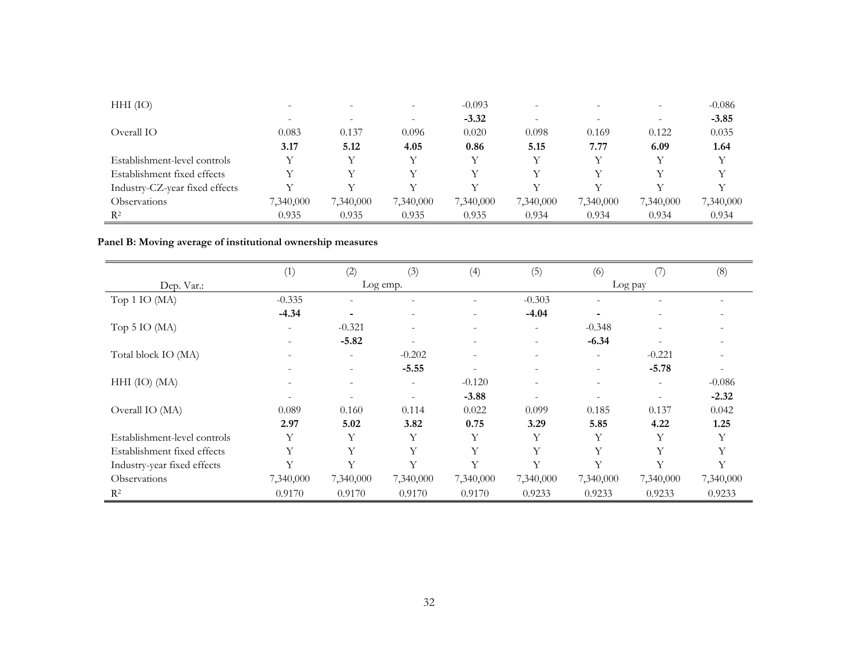| $HHI$ (IO)                     | $\overline{\phantom{0}}$ | $\overline{\phantom{0}}$ | $\overline{\phantom{0}}$ | $-0.093$  | $\overline{\phantom{a}}$ |           |           | $-0.086$  |
|--------------------------------|--------------------------|--------------------------|--------------------------|-----------|--------------------------|-----------|-----------|-----------|
|                                |                          | $\overline{\phantom{0}}$ | $\overline{\phantom{0}}$ | $-3.32$   |                          |           |           | $-3.85$   |
| Overall IO                     | 0.083                    | 0.137                    | 0.096                    | 0.020     | 0.098                    | 0.169     | 0.122     | 0.035     |
|                                | 3.17                     | 5.12                     | 4.05                     | 0.86      | 5.15                     | 7.77      | 6.09      | 1.64      |
| Establishment-level controls   |                          | V                        | V                        | V         | V                        |           | V         |           |
| Establishment fixed effects    |                          | V                        |                          |           |                          |           | v         |           |
| Industry-CZ-year fixed effects | v                        | V                        |                          |           |                          |           | v         |           |
| <b>Observations</b>            | 7,340,000                | 7,340,000                | 7,340,000                | 7,340,000 | 7,340,000                | 7,340,000 | 7,340,000 | 7,340,000 |
| $R^2$                          | 0.935                    | 0.935                    | 0.935                    | 0.935     | 0.934                    | 0.934     | 0.934     | 0.934     |

# **Panel B: Moving average of institutional ownership measures**

|                              | (1)                      | (2)                      | (3)                      | (4)                      | (5)                      | (6)                      | $\left(\frac{7}{2}\right)$ | (8)       |
|------------------------------|--------------------------|--------------------------|--------------------------|--------------------------|--------------------------|--------------------------|----------------------------|-----------|
| Dep. Var.:                   |                          |                          | Log emp.                 |                          |                          | Log pay                  |                            |           |
| Top 1 IO (MA)                | $-0.335$                 | $\overline{\phantom{a}}$ |                          |                          | $-0.303$                 |                          |                            |           |
|                              | $-4.34$                  | ٠                        | $\overline{\phantom{a}}$ | $\overline{\phantom{0}}$ | $-4.04$                  | $\overline{\phantom{0}}$ | $\overline{\phantom{0}}$   |           |
| Top 5 IO (MA)                | $\overline{\phantom{a}}$ | $-0.321$                 | $\overline{\phantom{a}}$ | $\overline{\phantom{a}}$ | $\overline{\phantom{a}}$ | $-0.348$                 |                            |           |
|                              |                          | $-5.82$                  | ٠                        | $\overline{\phantom{a}}$ | $\overline{\phantom{a}}$ | $-6.34$                  |                            |           |
| Total block IO (MA)          |                          | $\overline{\phantom{a}}$ | $-0.202$                 |                          |                          | ٠                        | $-0.221$                   |           |
|                              |                          | $\overline{\phantom{a}}$ | $-5.55$                  |                          |                          |                          | $-5.78$                    |           |
| $HHI$ (IO) (MA)              |                          | $\qquad \qquad -$        | $\overline{\phantom{a}}$ | $-0.120$                 | $\overline{\phantom{a}}$ | $\overline{\phantom{0}}$ | $\overline{\phantom{a}}$   | $-0.086$  |
|                              |                          | $\overline{\phantom{a}}$ | $\overline{\phantom{a}}$ | $-3.88$                  | $\overline{\phantom{a}}$ |                          |                            | $-2.32$   |
| Overall IO (MA)              | 0.089                    | 0.160                    | 0.114                    | 0.022                    | 0.099                    | 0.185                    | 0.137                      | 0.042     |
|                              | 2.97                     | 5.02                     | 3.82                     | 0.75                     | 3.29                     | 5.85                     | 4.22                       | 1.25      |
| Establishment-level controls | Y                        | Υ                        | Y                        | Y                        | Y                        | Y                        | Y                          | Y         |
| Establishment fixed effects  | Y                        | Υ                        | Y                        | Y                        | Y                        | Y                        | Y                          | Y         |
| Industry-year fixed effects  | Y                        | Y                        | Y                        | Y                        | $\mathbf{V}$             | Y                        | Y                          | Y         |
| Observations                 | 7,340,000                | 7,340,000                | 7,340,000                | 7,340,000                | 7,340,000                | 7,340,000                | 7,340,000                  | 7,340,000 |
| $\mathbb{R}^2$               | 0.9170                   | 0.9170                   | 0.9170                   | 0.9170                   | 0.9233                   | 0.9233                   | 0.9233                     | 0.9233    |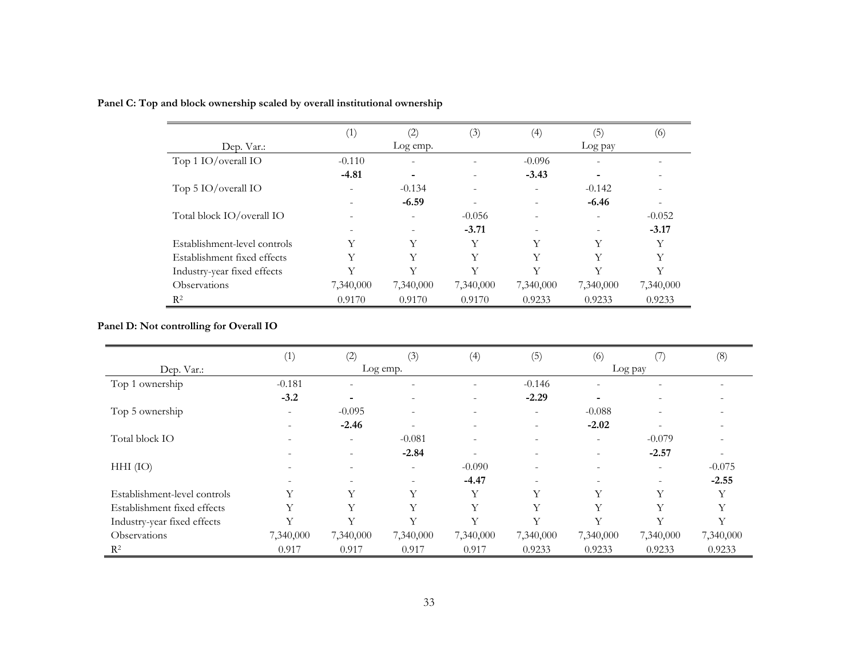|                              | (1)                      | (2)                      | (3)       | (4)       | (5)                      | (6)       |
|------------------------------|--------------------------|--------------------------|-----------|-----------|--------------------------|-----------|
| Dep. Var.:                   |                          | Log emp.                 |           |           | Log pay                  |           |
| Top 1 IO/overall IO          | $-0.110$                 | $\overline{\phantom{a}}$ |           | $-0.096$  | $\overline{\phantom{a}}$ |           |
|                              | $-4.81$                  |                          |           | $-3.43$   |                          |           |
| Top 5 IO/overall IO          | $\overline{\phantom{a}}$ | $-0.134$                 |           |           | $-0.142$                 |           |
|                              |                          | $-6.59$                  |           |           | $-6.46$                  |           |
| Total block IO/overall IO    | $\overline{\phantom{0}}$ |                          | $-0.056$  |           |                          | $-0.052$  |
|                              |                          |                          | $-3.71$   |           |                          | $-3.17$   |
| Establishment-level controls | Y                        | Y                        | Y         | Y         | Y                        | Y         |
| Establishment fixed effects  | Υ                        | Y                        | Y         | Y         | Y                        | Y         |
| Industry-year fixed effects  | Y                        | $\rm _V$                 | Y         | Y         | Y                        | Y         |
| <b>Observations</b>          | 7,340,000                | 7,340,000                | 7,340,000 | 7,340,000 | 7,340,000                | 7,340,000 |
| R <sup>2</sup>               | 0.9170                   | 0.9170                   | 0.9170    | 0.9233    | 0.9233                   | 0.9233    |

# **Panel C: Top and block ownership scaled by overall institutional ownership**

# **Panel D: Not controlling for Overall IO**

|                              | (1)       | (2)                      | (3)                      | (4)                      | (5)                      | (6)                      |                          | (8)       |  |
|------------------------------|-----------|--------------------------|--------------------------|--------------------------|--------------------------|--------------------------|--------------------------|-----------|--|
| Dep. Var.:                   | Log emp.  |                          |                          |                          |                          | Log pay                  |                          |           |  |
| Top 1 ownership              | $-0.181$  | $\overline{\phantom{0}}$ | $\overline{\phantom{0}}$ |                          | $-0.146$                 |                          |                          |           |  |
|                              | $-3.2$    | ۰                        | $\overline{\phantom{a}}$ | $\overline{\phantom{a}}$ | $-2.29$                  |                          |                          |           |  |
| Top 5 ownership              |           | $-0.095$                 | $\overline{\phantom{a}}$ |                          | $\overline{\phantom{a}}$ | $-0.088$                 |                          |           |  |
|                              |           | $-2.46$                  | $\overline{\phantom{a}}$ | $\overline{\phantom{a}}$ | $\overline{\phantom{0}}$ | $-2.02$                  | ٠                        |           |  |
| Total block IO               |           | $\overline{\phantom{a}}$ | $-0.081$                 | $\overline{\phantom{a}}$ | $\overline{\phantom{a}}$ |                          | $-0.079$                 |           |  |
|                              |           | $\overline{\phantom{a}}$ | $-2.84$                  | $\overline{a}$           | $\overline{\phantom{0}}$ | $\overline{\phantom{0}}$ | $-2.57$                  |           |  |
| $HHI$ (IO)                   |           | $\overline{\phantom{0}}$ | $\overline{\phantom{0}}$ | $-0.090$                 |                          |                          | $\overline{\phantom{0}}$ | $-0.075$  |  |
|                              |           |                          | $\overline{\phantom{a}}$ | $-4.47$                  |                          |                          |                          | $-2.55$   |  |
| Establishment-level controls | Y         | Y                        | Y                        | Y                        | Y                        | Y                        | Y                        | v         |  |
| Establishment fixed effects  | Y         | Y                        | Y                        | Y                        | Y                        | Y                        | Υ                        | Y         |  |
| Industry-year fixed effects  | Y         | Y                        | Y                        | V                        | Y                        | Y                        | Y                        | Y         |  |
| Observations                 | 7,340,000 | 7,340,000                | 7,340,000                | 7,340,000                | 7,340,000                | 7,340,000                | 7,340,000                | 7,340,000 |  |
| $\mathbb{R}^2$               | 0.917     | 0.917                    | 0.917                    | 0.917                    | 0.9233                   | 0.9233                   | 0.9233                   | 0.9233    |  |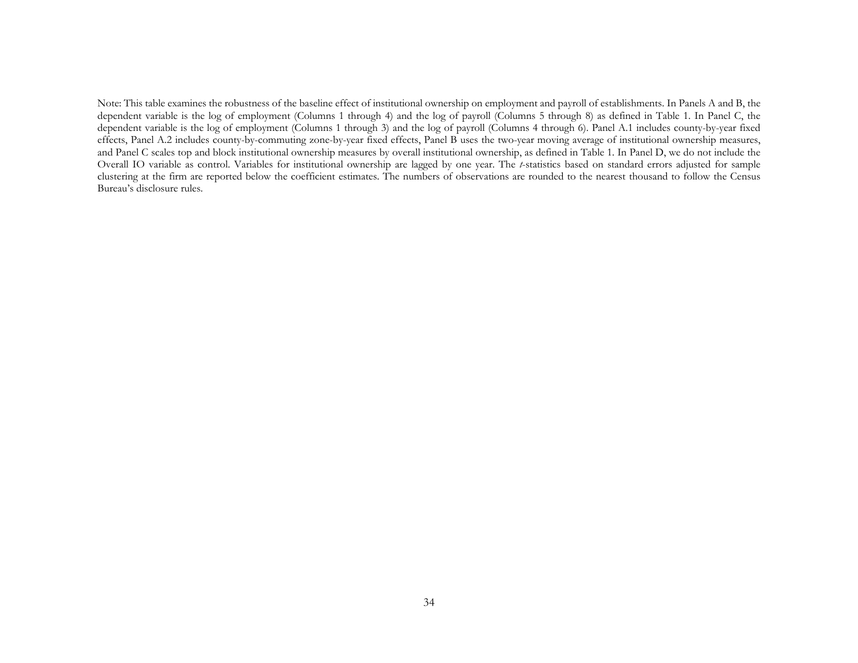Note: This table examines the robustness of the baseline effect of institutional ownership on employment and payroll of establishments. In Panels A and B, the dependent variable is the log of employment (Columns 1 through 4) and the log of payroll (Columns 5 through 8) as defined in Table 1. In Panel C, the dependent variable is the log of employment (Columns 1 through 3) and the log of payroll (Columns 4 through 6). Panel A.1 includes county-by-year fixed effects, Panel A.2 includes county-by-commuting zone-by-year fixed effects, Panel B uses the two-year moving average of institutional ownership measures, and Panel C scales top and block institutional ownership measures by overall institutional ownership, as defined in Table 1. In Panel D, we do not include the Overall IO variable as control. Variables for institutional ownership are lagged by one year. The *t*-statistics based on standard errors adjusted for sample clustering at the firm are reported below the coefficient estimates. The numbers of observations are rounded to the nearest thousand to follow the Census Bureau's disclosure rules.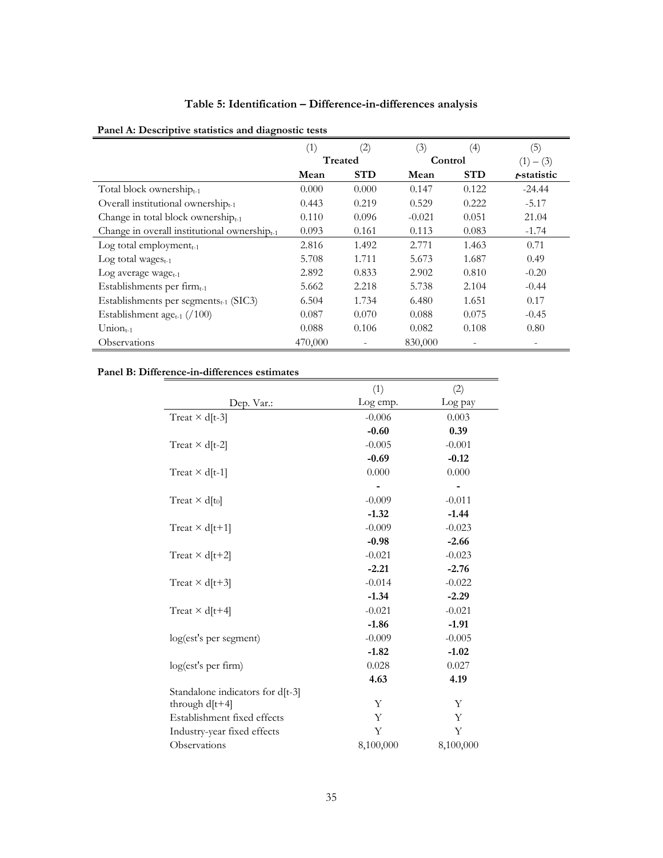# **Table 5: Identification – Difference-in-differences analysis**

|                                                                  | (1)            | (2)        | (3)      | $\left(4\right)$ | (5)            |
|------------------------------------------------------------------|----------------|------------|----------|------------------|----------------|
|                                                                  | <b>Treated</b> |            | Control  |                  | (1)<br>$-$ (3) |
|                                                                  | Mean           | <b>STD</b> | Mean     | <b>STD</b>       | t-statistic    |
| Total block ownership $_{t-1}$                                   | 0.000          | 0.000      | 0.147    | 0.122            | $-24.44$       |
| Overall institutional ownership $_{t-1}$                         | 0.443          | 0.219      | 0.529    | 0.222            | $-5.17$        |
| Change in total block ownership $_{t-1}$                         | 0.110          | 0.096      | $-0.021$ | 0.051            | 21.04          |
| Change in overall institutional ownership <sub>t-1</sub>         | 0.093          | 0.161      | 0.113    | 0.083            | $-1.74$        |
| Log total employment $_{t-1}$                                    | 2.816          | 1.492      | 2.771    | 1.463            | 0.71           |
| Log total wages $_{t-1}$                                         | 5.708          | 1.711      | 5.673    | 1.687            | 0.49           |
| Log average wage <sub>t-1</sub>                                  | 2.892          | 0.833      | 2.902    | 0.810            | $-0.20$        |
| Establishments per firm <sub>t-1</sub>                           | 5.662          | 2.218      | 5.738    | 2.104            | $-0.44$        |
| Establishments per segments <sub>t-1</sub> (SIC3)                | 6.504          | 1.734      | 6.480    | 1.651            | 0.17           |
| Establishment age <sub>t-1</sub> $\left(\frac{/100}{.25}\right)$ | 0.087          | 0.070      | 0.088    | 0.075            | $-0.45$        |
| $Union_{t-1}$                                                    | 0.088          | 0.106      | 0.082    | 0.108            | 0.80           |
| Observations                                                     | 470,000        |            | 830,000  |                  |                |

▃

# **Panel A: Descriptive statistics and diagnostic tests**

# **Panel B: Difference-in-differences estimates**

|                                   | (1)       | (2)       |
|-----------------------------------|-----------|-----------|
| Dep. Var.:                        | Log emp.  | Log pay   |
| Treat $\times$ d[t-3]             | $-0.006$  | 0.003     |
|                                   | $-0.60$   | 0.39      |
| Treat $\times$ d[t-2]             | $-0.005$  | $-0.001$  |
|                                   | $-0.69$   | $-0.12$   |
| Treat $\times$ d[t-1]             | 0.000     | 0.000     |
|                                   |           |           |
| Treat $\times$ d[t <sub>0</sub> ] | $-0.009$  | $-0.011$  |
|                                   | $-1.32$   | $-1.44$   |
| Treat $\times$ d[t+1]             | $-0.009$  | $-0.023$  |
|                                   | $-0.98$   | $-2.66$   |
| Treat $\times$ d[t+2]             | $-0.021$  | $-0.023$  |
|                                   | $-2.21$   | $-2.76$   |
| Treat $\times$ d[t+3]             | $-0.014$  | $-0.022$  |
|                                   | $-1.34$   | $-2.29$   |
| Treat $\times$ d[t+4]             | $-0.021$  | $-0.021$  |
|                                   | $-1.86$   | $-1.91$   |
| log(est's per segment)            | $-0.009$  | $-0.005$  |
|                                   | $-1.82$   | $-1.02$   |
| log(est's per firm)               | 0.028     | 0.027     |
|                                   | 4.63      | 4.19      |
| Standalone indicators for d[t-3]  |           |           |
| through $d[t+4]$                  | Υ         | Υ         |
| Establishment fixed effects       | Y         | Y         |
| Industry-year fixed effects       | Υ         | Y         |
| Observations                      | 8,100,000 | 8,100,000 |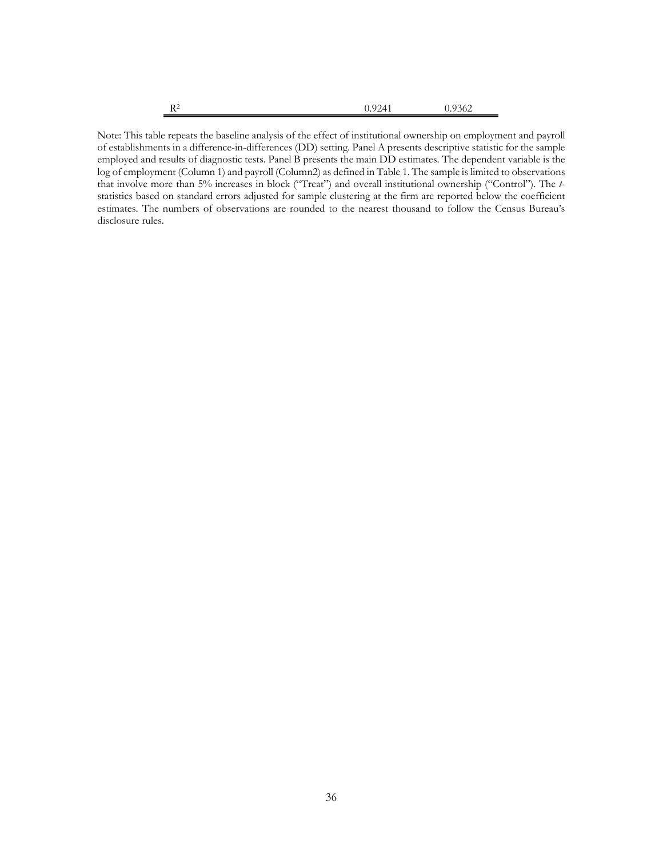| R <sup>2</sup><br>v<br>and the control of the control of | 0.9241<br>U.YZ41 | 0.9362 |
|----------------------------------------------------------|------------------|--------|
|                                                          |                  |        |

Note: This table repeats the baseline analysis of the effect of institutional ownership on employment and payroll of establishments in a difference-in-differences (DD) setting. Panel A presents descriptive statistic for the sample employed and results of diagnostic tests. Panel B presents the main DD estimates. The dependent variable is the log of employment (Column 1) and payroll (Column2) as defined in Table 1. The sample is limited to observations that involve more than 5% increases in block ("Treat") and overall institutional ownership ("Control"). The *t*statistics based on standard errors adjusted for sample clustering at the firm are reported below the coefficient estimates. The numbers of observations are rounded to the nearest thousand to follow the Census Bureau's disclosure rules.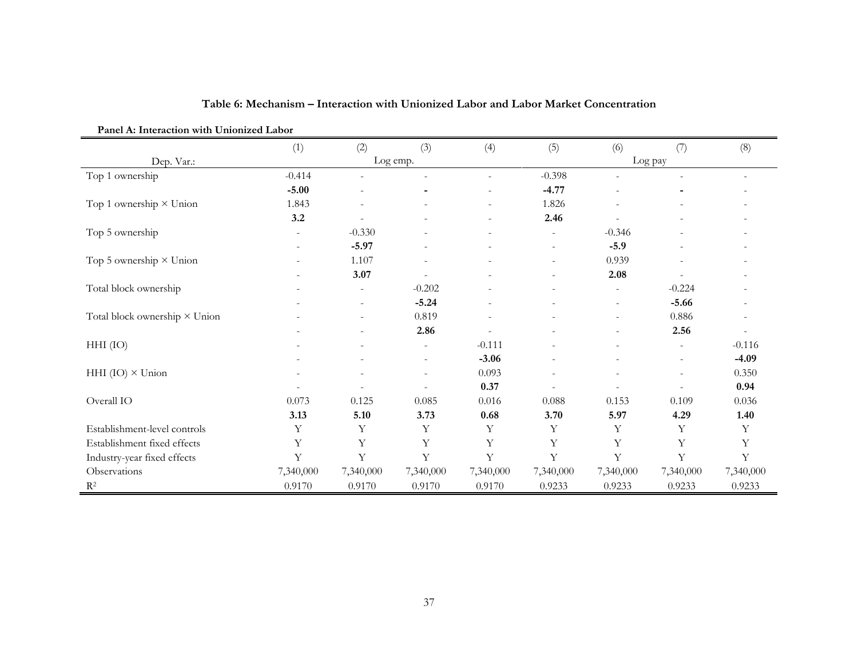| Panel A: Interaction with Unionized Labor |           |                          |                          |                |           |                          |                          |           |
|-------------------------------------------|-----------|--------------------------|--------------------------|----------------|-----------|--------------------------|--------------------------|-----------|
|                                           | (1)       | (2)                      | (3)                      | (4)            | (5)       | (6)                      | (7)                      | (8)       |
| Dep. Var.:                                |           |                          | Log emp.                 |                |           |                          | Log pay                  |           |
| Top 1 ownership                           | $-0.414$  |                          |                          |                | $-0.398$  |                          |                          | $\equiv$  |
|                                           | $-5.00$   |                          |                          |                | $-4.77$   |                          |                          |           |
| Top 1 ownership $\times$ Union            | 1.843     | L,                       |                          | $\blacksquare$ | 1.826     |                          |                          |           |
|                                           | 3.2       |                          |                          |                | 2.46      |                          |                          |           |
| Top 5 ownership                           |           | $-0.330$                 |                          |                |           | $-0.346$                 |                          |           |
|                                           |           | $-5.97$                  |                          |                |           | $-5.9$                   |                          |           |
| Top 5 ownership $\times$ Union            |           | 1.107                    |                          |                |           | 0.939                    |                          |           |
|                                           |           | 3.07                     |                          |                |           | 2.08                     |                          |           |
| Total block ownership                     |           | $\overline{\phantom{a}}$ | $-0.202$                 |                |           | $\overline{\phantom{a}}$ | $-0.224$                 |           |
|                                           |           | $\overline{\phantom{a}}$ | $-5.24$                  |                |           | $\blacksquare$           | $-5.66$                  |           |
| Total block ownership × Union             |           |                          | 0.819                    |                |           |                          | 0.886                    |           |
|                                           |           | $\overline{\phantom{0}}$ | 2.86                     |                |           | $\equiv$                 | 2.56                     |           |
| $HHI$ (IO)                                |           |                          | $\sim$                   | $-0.111$       |           |                          | $\overline{\phantom{a}}$ | $-0.116$  |
|                                           |           |                          | $\overline{\phantom{a}}$ | $-3.06$        |           |                          | $\overline{\phantom{a}}$ | $-4.09$   |
| HHI $(IO) \times Union$                   |           |                          | $\overline{\phantom{a}}$ | 0.093          |           |                          | $\overline{\phantom{a}}$ | 0.350     |
|                                           |           |                          |                          | 0.37           |           |                          |                          | 0.94      |
| Overall IO                                | 0.073     | 0.125                    | 0.085                    | 0.016          | 0.088     | 0.153                    | 0.109                    | 0.036     |
|                                           | 3.13      | 5.10                     | 3.73                     | $0.68\,$       | 3.70      | 5.97                     | 4.29                     | 1.40      |
| Establishment-level controls              | Y         | Y                        | Y                        | Y              | Y         | Υ                        | Y                        | Υ         |
| Establishment fixed effects               | Y         | Y                        | Υ                        | $\mathbf Y$    | Y         | Y                        | Y                        | Υ         |
| Industry-year fixed effects               | Y         | Y                        | Y                        | Y              | Y         | Y                        | Y                        | Y         |
| Observations                              | 7,340,000 | 7,340,000                | 7,340,000                | 7,340,000      | 7,340,000 | 7,340,000                | 7,340,000                | 7,340,000 |
| $\mathbb{R}^2$                            | 0.9170    | 0.9170                   | 0.9170                   | 0.9170         | 0.9233    | 0.9233                   | 0.9233                   | 0.9233    |

# **Table 6: Mechanism – Interaction with Unionized Labor and Labor Market Concentration**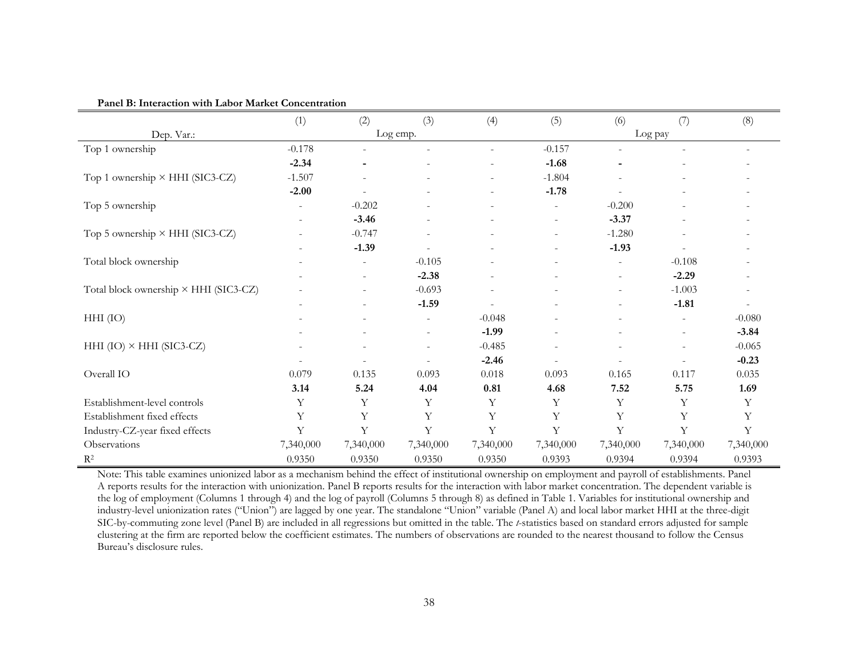|                                        | (1)       | (2)                      | (3)                      | (4)         | (5)                      | (6)                      | (7)                      | (8)       |
|----------------------------------------|-----------|--------------------------|--------------------------|-------------|--------------------------|--------------------------|--------------------------|-----------|
| Dep. Var.:                             |           |                          | Log emp.                 |             |                          | Log pay                  |                          |           |
| Top 1 ownership                        | $-0.178$  |                          |                          |             | $-0.157$                 |                          |                          |           |
|                                        | $-2.34$   |                          |                          |             | $-1.68$                  |                          |                          |           |
| Top 1 ownership × HHI (SIC3-CZ)        | $-1.507$  |                          | $\overline{\phantom{a}}$ |             | $-1.804$                 |                          |                          |           |
|                                        | $-2.00$   |                          |                          |             | $-1.78$                  |                          |                          |           |
| Top 5 ownership                        |           | $-0.202$                 |                          |             |                          | $-0.200$                 |                          |           |
|                                        |           | $-3.46$                  | $\overline{\phantom{a}}$ |             | $\overline{\phantom{a}}$ | $-3.37$                  |                          |           |
| Top 5 ownership $\times$ HHI (SIC3-CZ) |           | $-0.747$                 | $\overline{\phantom{a}}$ |             | $\overline{\phantom{a}}$ | $-1.280$                 | $\overline{\phantom{0}}$ |           |
|                                        |           | $-1.39$                  |                          |             |                          | $-1.93$                  |                          |           |
| Total block ownership                  |           | $\overline{\phantom{a}}$ | $-0.105$                 |             |                          | $\overline{\phantom{a}}$ | $-0.108$                 |           |
|                                        |           | $\overline{\phantom{a}}$ | $-2.38$                  |             |                          | $\overline{\phantom{a}}$ | $-2.29$                  |           |
| Total block ownership × HHI (SIC3-CZ)  |           |                          | $-0.693$                 |             |                          |                          | $-1.003$                 |           |
|                                        |           |                          | $-1.59$                  |             |                          |                          | $-1.81$                  |           |
| $HHI$ (IO)                             |           |                          | ۰                        | $-0.048$    |                          |                          | $\overline{\phantom{a}}$ | $-0.080$  |
|                                        |           |                          | -                        | $-1.99$     |                          |                          | $\overline{\phantom{a}}$ | $-3.84$   |
| HHI $(IO) \times HHI (SIC3-CZ)$        |           |                          | ۰                        | $-0.485$    |                          |                          | $\overline{\phantom{a}}$ | $-0.065$  |
|                                        |           |                          |                          | $-2.46$     |                          |                          |                          | $-0.23$   |
| Overall IO                             | 0.079     | 0.135                    | 0.093                    | $0.018\,$   | 0.093                    | 0.165                    | 0.117                    | 0.035     |
|                                        | 3.14      | 5.24                     | 4.04                     | 0.81        | 4.68                     | 7.52                     | 5.75                     | 1.69      |
| Establishment-level controls           | Y         | Y                        | Y                        | Υ           | Y                        | Y                        | Υ                        | Y         |
| Establishment fixed effects            | Y         | $\mathbf Y$              | Υ                        | $\mathbf Y$ | Y                        | Y                        | Y                        | Y         |
| Industry-CZ-year fixed effects         | Y         | Υ                        | Υ                        | Y           | Y                        | Y                        | Y                        | Y         |
| Observations                           | 7,340,000 | 7,340,000                | 7,340,000                | 7,340,000   | 7,340,000                | 7,340,000                | 7,340,000                | 7,340,000 |
| $R^2$                                  | 0.9350    | 0.9350                   | 0.9350                   | 0.9350      | 0.9393                   | 0.9394                   | 0.9394                   | 0.9393    |

#### **Panel B: Interaction with Labor Market Concentration**

Note: This table examines unionized labor as a mechanism behind the effect of institutional ownership on employment and payroll of establishments. Panel A reports results for the interaction with unionization. Panel B reports results for the interaction with labor market concentration. The dependent variable is the log of employment (Columns 1 through 4) and the log of payroll (Columns 5 through 8) as defined in Table 1. Variables for institutional ownership and industry-level unionization rates ("Union") are lagged by one year. The standalone "Union" variable (Panel A) and local labor market HHI at the three-digit SIC-by-commuting zone level (Panel B) are included in all regressions but omitted in the table. The *t*-statistics based on standard errors adjusted for sample clustering at the firm are reported below the coefficient estimates. The numbers of observations are rounded to the nearest thousand to follow the Census Bureau's disclosure rules.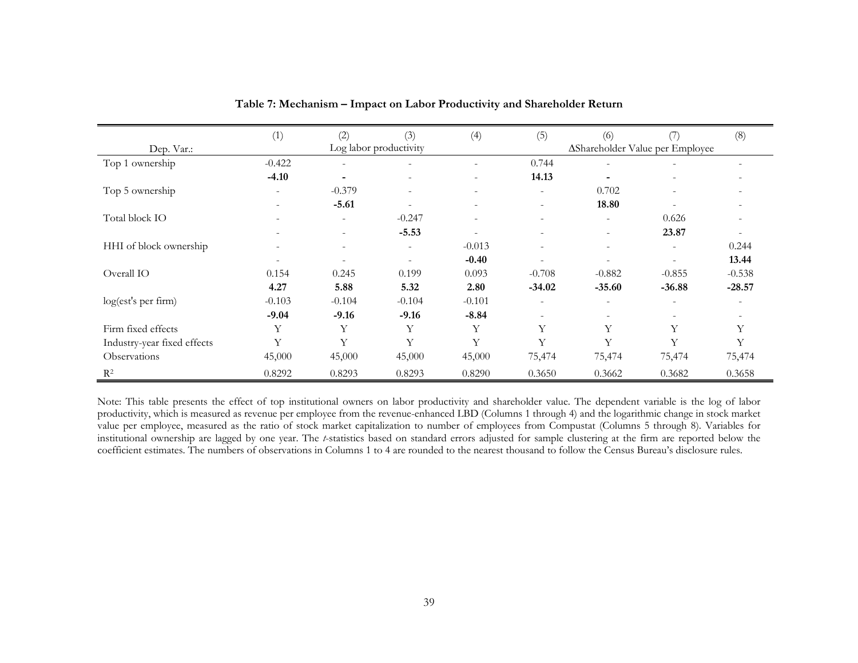|                             | (1)                      | (2)                      | (3)                      | (4)                      | (5)                      | (6)                             |          | (8)      |
|-----------------------------|--------------------------|--------------------------|--------------------------|--------------------------|--------------------------|---------------------------------|----------|----------|
| Dep. Var.:                  |                          |                          | Log labor productivity   |                          |                          | AShareholder Value per Employee |          |          |
| Top 1 ownership             | $-0.422$                 | $\sim$                   | $\overline{\phantom{a}}$ |                          | 0.744                    | $\overline{\phantom{a}}$        |          |          |
|                             | $-4.10$                  | $\overline{\phantom{0}}$ | $\overline{\phantom{a}}$ |                          | 14.13                    | ۰                               |          |          |
| Top 5 ownership             | $\overline{\phantom{a}}$ | $-0.379$                 | $\overline{\phantom{a}}$ | $\overline{\phantom{a}}$ | $\equiv$                 | 0.702                           | ۰        |          |
|                             |                          | $-5.61$                  |                          |                          | $\overline{\phantom{a}}$ | 18.80                           |          |          |
| Total block IO              |                          | $\sim$                   | $-0.247$                 | $\overline{\phantom{0}}$ | $\overline{\phantom{a}}$ | $\blacksquare$                  | 0.626    |          |
|                             |                          | -                        | $-5.53$                  |                          | $\overline{\phantom{a}}$ | $\overline{\phantom{a}}$        | 23.87    |          |
| HHI of block ownership      |                          | $\sim$                   | $\overline{\phantom{a}}$ | $-0.013$                 | $\overline{\phantom{a}}$ | $\overline{\phantom{a}}$        |          | 0.244    |
|                             |                          |                          |                          | $-0.40$                  |                          | ٠                               |          | 13.44    |
| Overall IO                  | 0.154                    | 0.245                    | 0.199                    | 0.093                    | $-0.708$                 | $-0.882$                        | $-0.855$ | $-0.538$ |
|                             | 4.27                     | 5.88                     | 5.32                     | 2.80                     | $-34.02$                 | $-35.60$                        | $-36.88$ | $-28.57$ |
| log(est's per firm)         | $-0.103$                 | $-0.104$                 | $-0.104$                 | $-0.101$                 |                          | $\overline{\phantom{a}}$        |          |          |
|                             | $-9.04$                  | $-9.16$                  | $-9.16$                  | $-8.84$                  | $\overline{\phantom{a}}$ | $\overline{\phantom{a}}$        |          |          |
| Firm fixed effects          | Υ                        | Υ                        | Y                        | Y                        | Y                        | Υ                               | Y        |          |
| Industry-year fixed effects | Y                        | Y                        | Y                        | Y                        | Y                        | Y                               | Y        | Y        |
| Observations                | 45,000                   | 45,000                   | 45,000                   | 45,000                   | 75,474                   | 75,474                          | 75,474   | 75,474   |
| $R^2$                       | 0.8292                   | 0.8293                   | 0.8293                   | 0.8290                   | 0.3650                   | 0.3662                          | 0.3682   | 0.3658   |

**Table 7: Mechanism – Impact on Labor Productivity and Shareholder Return**

Note: This table presents the effect of top institutional owners on labor productivity and shareholder value. The dependent variable is the log of labor productivity, which is measured as revenue per employee from the revenue-enhanced LBD (Columns 1 through 4) and the logarithmic change in stock market value per employee, measured as the ratio of stock market capitalization to number of employees from Compustat (Columns 5 through 8). Variables for institutional ownership are lagged by one year. The *t*-statistics based on standard errors adjusted for sample clustering at the firm are reported below the coefficient estimates. The numbers of observations in Columns 1 to 4 are rounded to the nearest thousand to follow the Census Bureau's disclosure rules.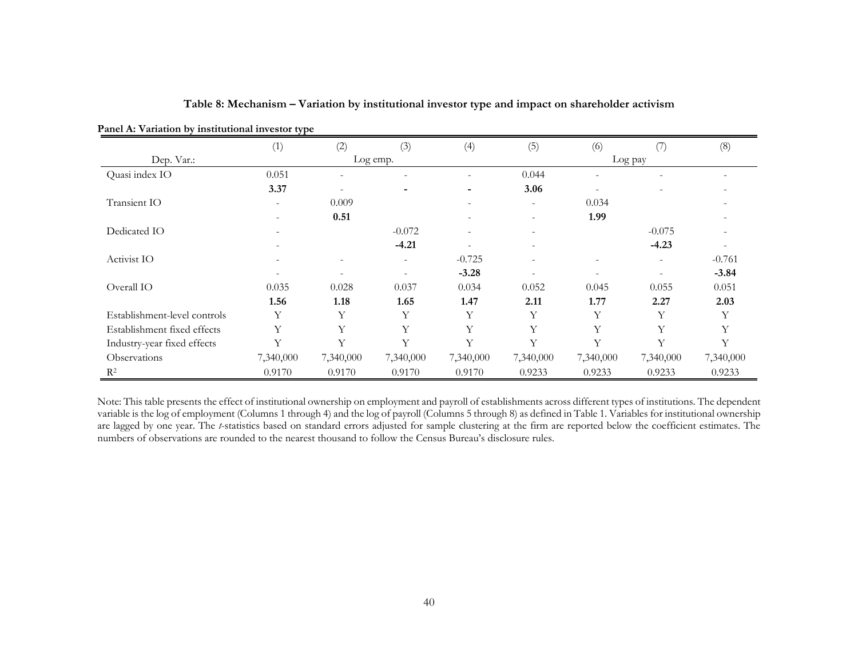| Panel A: Variation by institutional investor type |                |                          |                          |           |                          |                          |           |           |
|---------------------------------------------------|----------------|--------------------------|--------------------------|-----------|--------------------------|--------------------------|-----------|-----------|
|                                                   | (1)            | (2)                      | (3)                      | (4)       | (5)                      | (6)                      | (7)       | (8)       |
| Dep. Var.:                                        |                |                          | Log emp.                 |           |                          |                          | Log pay   |           |
| Quasi index IO                                    | 0.051          | $\overline{\phantom{a}}$ | $\overline{\phantom{a}}$ | ۰         | 0.044                    | $\overline{\phantom{a}}$ |           |           |
|                                                   | 3.37           |                          |                          | -         | 3.06                     | $\overline{\phantom{a}}$ |           |           |
| Transient IO                                      | ۰              | 0.009                    |                          |           | $\overline{\phantom{a}}$ | 0.034                    |           |           |
|                                                   | $\blacksquare$ | 0.51                     |                          |           | $\overline{\phantom{a}}$ | 1.99                     |           |           |
| Dedicated IO                                      | ۰              |                          | $-0.072$                 |           | $\overline{\phantom{a}}$ |                          | $-0.075$  |           |
|                                                   |                |                          | $-4.21$                  |           |                          |                          | $-4.23$   |           |
| Activist IO                                       |                |                          |                          | $-0.725$  | $\overline{\phantom{0}}$ | ۰                        |           | $-0.761$  |
|                                                   |                |                          |                          | $-3.28$   |                          |                          |           | $-3.84$   |
| Overall IO                                        | 0.035          | 0.028                    | 0.037                    | 0.034     | 0.052                    | 0.045                    | 0.055     | 0.051     |
|                                                   | 1.56           | 1.18                     | 1.65                     | 1.47      | 2.11                     | 1.77                     | 2.27      | 2.03      |
| Establishment-level controls                      | Υ              | Y                        | Υ                        | Y         | Υ                        | Υ                        | Y         | Y         |
| Establishment fixed effects                       | Υ              | Y                        | Y                        | Υ         | Y                        | Υ                        | Y         | Y         |
| Industry-year fixed effects                       | Υ              | Y                        | Y                        | Υ         | Y                        | Y                        | Y         | Y         |
| Observations                                      | 7,340,000      | 7,340,000                | 7,340,000                | 7,340,000 | 7,340,000                | 7,340,000                | 7,340,000 | 7,340,000 |
| $R^2$                                             | 0.9170         | 0.9170                   | 0.9170                   | 0.9170    | 0.9233                   | 0.9233                   | 0.9233    | 0.9233    |

**Table 8: Mechanism – Variation by institutional investor type and impact on shareholder activism**

Note: This table presents the effect of institutional ownership on employment and payroll of establishments across different types of institutions. The dependent variable is the log of employment (Columns 1 through 4) and the log of payroll (Columns 5 through 8) as defined in Table 1. Variables for institutional ownership are lagged by one year. The *t*-statistics based on standard errors adjusted for sample clustering at the firm are reported below the coefficient estimates. The numbers of observations are rounded to the nearest thousand to follow the Census Bureau's disclosure rules.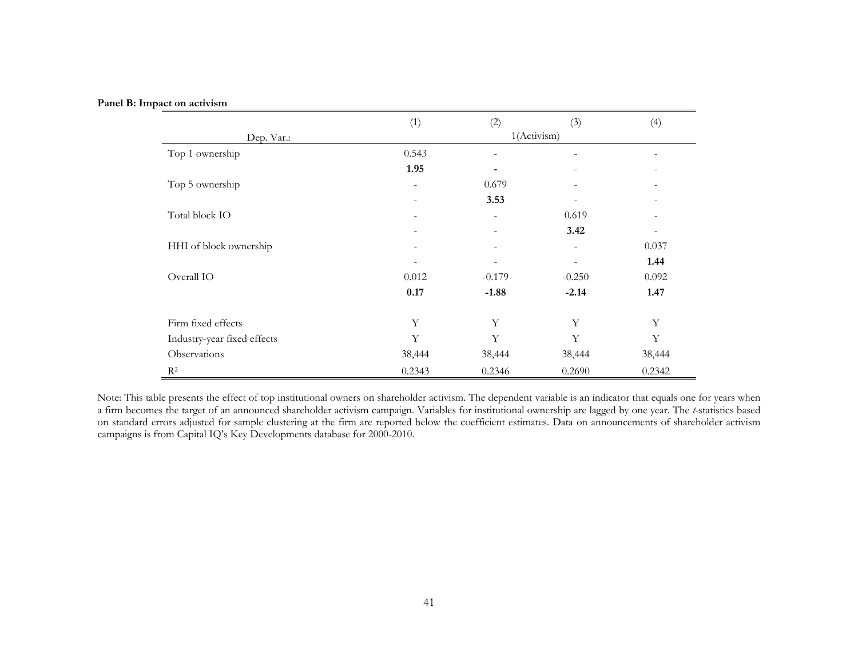|  |  | Panel B: Impact on activism |
|--|--|-----------------------------|
|--|--|-----------------------------|

|                             | (1)                      | (2)                      | (3)                      | (4)                      |
|-----------------------------|--------------------------|--------------------------|--------------------------|--------------------------|
| Dep. Var.:                  |                          | 1(Activism)              |                          |                          |
| Top 1 ownership             | 0.543                    | $\overline{\phantom{a}}$ |                          |                          |
|                             | 1.95                     |                          |                          |                          |
| Top 5 ownership             | $\overline{\phantom{a}}$ | 0.679                    |                          |                          |
|                             | $\overline{\phantom{a}}$ | 3.53                     | $\overline{\phantom{a}}$ | $\overline{\phantom{a}}$ |
| Total block IO              | $\overline{\phantom{a}}$ | $\overline{\phantom{a}}$ | 0.619                    |                          |
|                             |                          |                          | 3.42                     |                          |
| HHI of block ownership      | $\overline{\phantom{a}}$ | $\overline{\phantom{a}}$ |                          | 0.037                    |
|                             |                          |                          |                          | 1.44                     |
| Overall IO                  | 0.012                    | $-0.179$                 | $-0.250$                 | 0.092                    |
|                             | 0.17                     | $-1.88$                  | $-2.14$                  | 1.47                     |
|                             |                          |                          |                          |                          |
| Firm fixed effects          | Y                        | Y                        | Y                        | Y                        |
| Industry-year fixed effects | Y                        | Y                        | Y                        | Y                        |
| Observations                | 38,444                   | 38,444                   | 38,444                   | 38,444                   |
| $R^2$                       | 0.2343                   | 0.2346                   | 0.2690                   | 0.2342                   |

Note: This table presents the effect of top institutional owners on shareholder activism. The dependent variable is an indicator that equals one for years when a firm becomes the target of an announced shareholder activism campaign. Variables for institutional ownership are lagged by one year. The *t*-statistics based on standard errors adjusted for sample clustering at the firm are reported below the coefficient estimates. Data on announcements of shareholder activism campaigns is from Capital IQ's Key Developments database for 2000-2010.